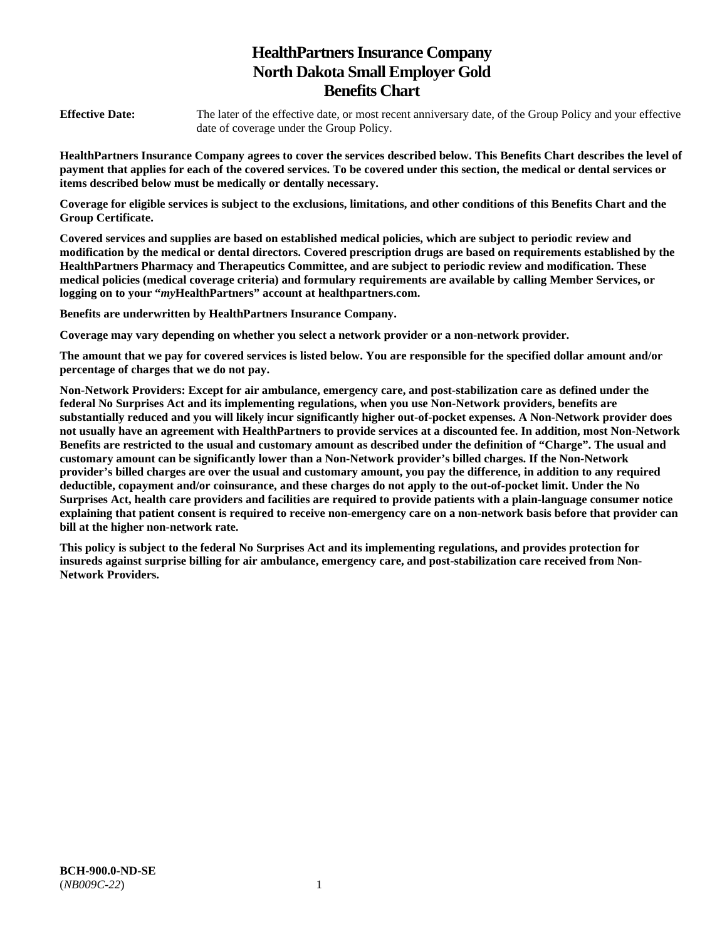# **HealthPartners Insurance Company North Dakota Small Employer Gold Benefits Chart**

**Effective Date:** The later of the effective date, or most recent anniversary date, of the Group Policy and your effective date of coverage under the Group Policy.

**HealthPartners Insurance Company agrees to cover the services described below. This Benefits Chart describes the level of payment that applies for each of the covered services. To be covered under this section, the medical or dental services or items described below must be medically or dentally necessary.** 

**Coverage for eligible services is subject to the exclusions, limitations, and other conditions of this Benefits Chart and the Group Certificate.** 

**Covered services and supplies are based on established medical policies, which are subject to periodic review and modification by the medical or dental directors. Covered prescription drugs are based on requirements established by the HealthPartners Pharmacy and Therapeutics Committee, and are subject to periodic review and modification. These medical policies (medical coverage criteria) and formulary requirements are available by calling Member Services, or logging on to your "***my***HealthPartners" account at [healthpartners.com.](http://healthpartners.com/)** 

**Benefits are underwritten by HealthPartners Insurance Company.** 

**Coverage may vary depending on whether you select a network provider or a non-network provider.** 

**The amount that we pay for covered services is listed below. You are responsible for the specified dollar amount and/or percentage of charges that we do not pay.** 

**Non-Network Providers: Except for air ambulance, emergency care, and post-stabilization care as defined under the federal No Surprises Act and its implementing regulations, when you use Non-Network providers, benefits are substantially reduced and you will likely incur significantly higher out-of-pocket expenses. A Non-Network provider does not usually have an agreement with HealthPartners to provide services at a discounted fee. In addition, most Non-Network Benefits are restricted to the usual and customary amount as described under the definition of "Charge". The usual and customary amount can be significantly lower than a Non-Network provider's billed charges. If the Non-Network provider's billed charges are over the usual and customary amount, you pay the difference, in addition to any required deductible, copayment and/or coinsurance, and these charges do not apply to the out-of-pocket limit. Under the No Surprises Act, health care providers and facilities are required to provide patients with a plain-language consumer notice explaining that patient consent is required to receive non-emergency care on a non-network basis before that provider can bill at the higher non-network rate.** 

**This policy is subject to the federal No Surprises Act and its implementing regulations, and provides protection for insureds against surprise billing for air ambulance, emergency care, and post-stabilization care received from Non-Network Providers.**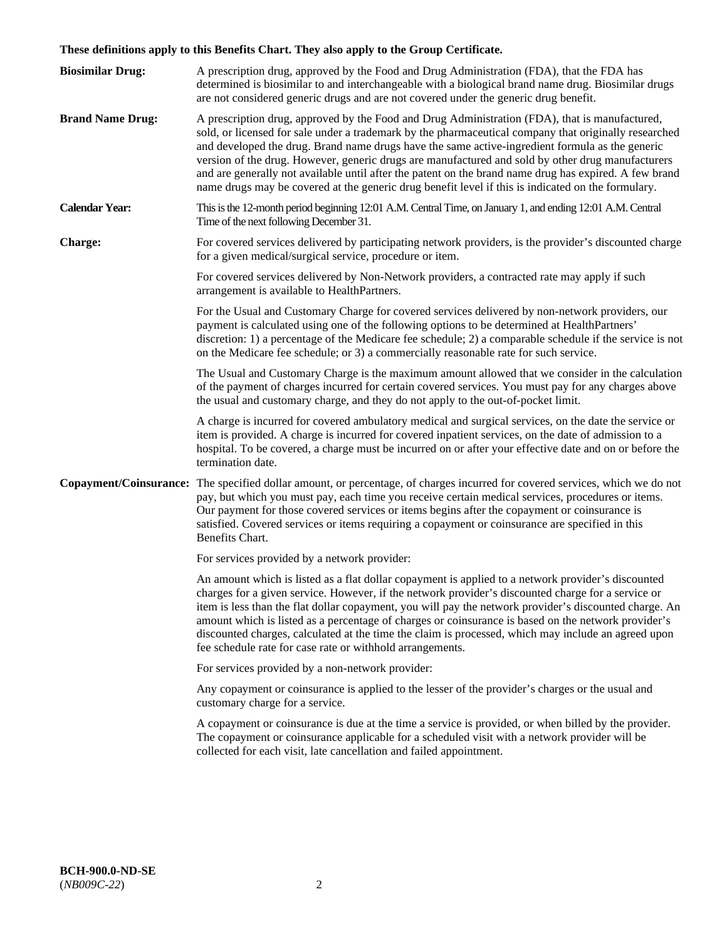# **These definitions apply to this Benefits Chart. They also apply to the Group Certificate.**

| <b>Biosimilar Drug:</b> | A prescription drug, approved by the Food and Drug Administration (FDA), that the FDA has<br>determined is biosimilar to and interchangeable with a biological brand name drug. Biosimilar drugs<br>are not considered generic drugs and are not covered under the generic drug benefit.                                                                                                                                                                                                                                                                                                                                        |
|-------------------------|---------------------------------------------------------------------------------------------------------------------------------------------------------------------------------------------------------------------------------------------------------------------------------------------------------------------------------------------------------------------------------------------------------------------------------------------------------------------------------------------------------------------------------------------------------------------------------------------------------------------------------|
| <b>Brand Name Drug:</b> | A prescription drug, approved by the Food and Drug Administration (FDA), that is manufactured,<br>sold, or licensed for sale under a trademark by the pharmaceutical company that originally researched<br>and developed the drug. Brand name drugs have the same active-ingredient formula as the generic<br>version of the drug. However, generic drugs are manufactured and sold by other drug manufacturers<br>and are generally not available until after the patent on the brand name drug has expired. A few brand<br>name drugs may be covered at the generic drug benefit level if this is indicated on the formulary. |
| <b>Calendar Year:</b>   | This is the 12-month period beginning 12:01 A.M. Central Time, on January 1, and ending 12:01 A.M. Central<br>Time of the next following December 31.                                                                                                                                                                                                                                                                                                                                                                                                                                                                           |
| <b>Charge:</b>          | For covered services delivered by participating network providers, is the provider's discounted charge<br>for a given medical/surgical service, procedure or item.                                                                                                                                                                                                                                                                                                                                                                                                                                                              |
|                         | For covered services delivered by Non-Network providers, a contracted rate may apply if such<br>arrangement is available to HealthPartners.                                                                                                                                                                                                                                                                                                                                                                                                                                                                                     |
|                         | For the Usual and Customary Charge for covered services delivered by non-network providers, our<br>payment is calculated using one of the following options to be determined at HealthPartners'<br>discretion: 1) a percentage of the Medicare fee schedule; 2) a comparable schedule if the service is not<br>on the Medicare fee schedule; or 3) a commercially reasonable rate for such service.                                                                                                                                                                                                                             |
|                         | The Usual and Customary Charge is the maximum amount allowed that we consider in the calculation<br>of the payment of charges incurred for certain covered services. You must pay for any charges above<br>the usual and customary charge, and they do not apply to the out-of-pocket limit.                                                                                                                                                                                                                                                                                                                                    |
|                         | A charge is incurred for covered ambulatory medical and surgical services, on the date the service or<br>item is provided. A charge is incurred for covered inpatient services, on the date of admission to a<br>hospital. To be covered, a charge must be incurred on or after your effective date and on or before the<br>termination date.                                                                                                                                                                                                                                                                                   |
|                         | Copayment/Coinsurance: The specified dollar amount, or percentage, of charges incurred for covered services, which we do not<br>pay, but which you must pay, each time you receive certain medical services, procedures or items.<br>Our payment for those covered services or items begins after the copayment or coinsurance is<br>satisfied. Covered services or items requiring a copayment or coinsurance are specified in this<br>Benefits Chart.                                                                                                                                                                         |
|                         | For services provided by a network provider:                                                                                                                                                                                                                                                                                                                                                                                                                                                                                                                                                                                    |
|                         | An amount which is listed as a flat dollar copayment is applied to a network provider's discounted<br>charges for a given service. However, if the network provider's discounted charge for a service or<br>item is less than the flat dollar copayment, you will pay the network provider's discounted charge. An<br>amount which is listed as a percentage of charges or coinsurance is based on the network provider's<br>discounted charges, calculated at the time the claim is processed, which may include an agreed upon<br>fee schedule rate for case rate or withhold arrangements.                                   |
|                         | For services provided by a non-network provider:                                                                                                                                                                                                                                                                                                                                                                                                                                                                                                                                                                                |
|                         | Any copayment or coinsurance is applied to the lesser of the provider's charges or the usual and<br>customary charge for a service.                                                                                                                                                                                                                                                                                                                                                                                                                                                                                             |
|                         | A copayment or coinsurance is due at the time a service is provided, or when billed by the provider.<br>The copayment or coinsurance applicable for a scheduled visit with a network provider will be<br>collected for each visit, late cancellation and failed appointment.                                                                                                                                                                                                                                                                                                                                                    |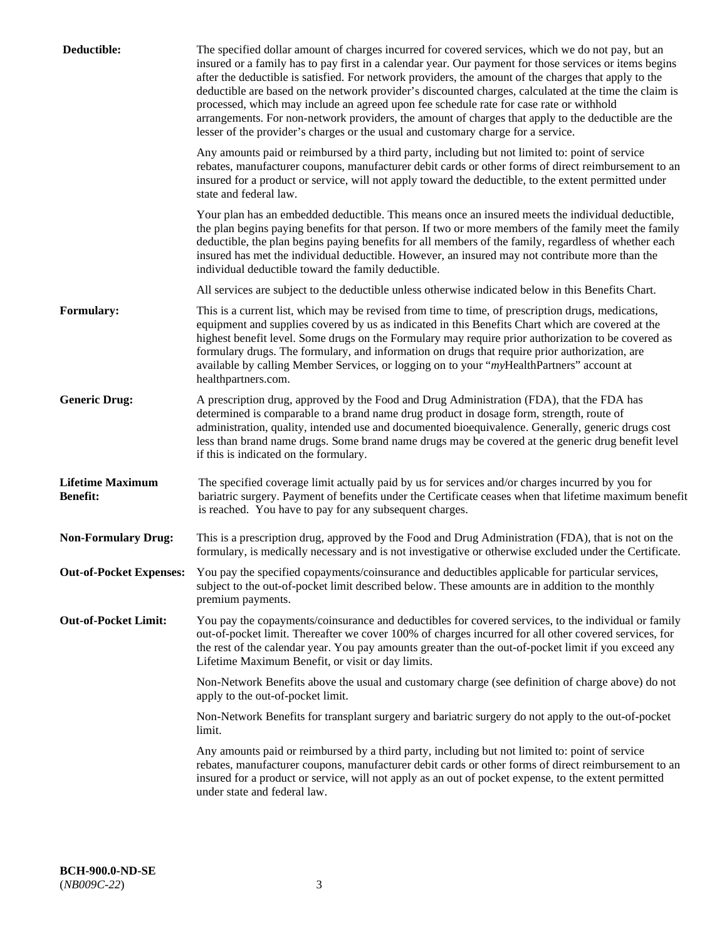| Deductible:                                | The specified dollar amount of charges incurred for covered services, which we do not pay, but an<br>insured or a family has to pay first in a calendar year. Our payment for those services or items begins<br>after the deductible is satisfied. For network providers, the amount of the charges that apply to the<br>deductible are based on the network provider's discounted charges, calculated at the time the claim is<br>processed, which may include an agreed upon fee schedule rate for case rate or withhold<br>arrangements. For non-network providers, the amount of charges that apply to the deductible are the<br>lesser of the provider's charges or the usual and customary charge for a service. |
|--------------------------------------------|------------------------------------------------------------------------------------------------------------------------------------------------------------------------------------------------------------------------------------------------------------------------------------------------------------------------------------------------------------------------------------------------------------------------------------------------------------------------------------------------------------------------------------------------------------------------------------------------------------------------------------------------------------------------------------------------------------------------|
|                                            | Any amounts paid or reimbursed by a third party, including but not limited to: point of service<br>rebates, manufacturer coupons, manufacturer debit cards or other forms of direct reimbursement to an<br>insured for a product or service, will not apply toward the deductible, to the extent permitted under<br>state and federal law.                                                                                                                                                                                                                                                                                                                                                                             |
|                                            | Your plan has an embedded deductible. This means once an insured meets the individual deductible,<br>the plan begins paying benefits for that person. If two or more members of the family meet the family<br>deductible, the plan begins paying benefits for all members of the family, regardless of whether each<br>insured has met the individual deductible. However, an insured may not contribute more than the<br>individual deductible toward the family deductible.                                                                                                                                                                                                                                          |
|                                            | All services are subject to the deductible unless otherwise indicated below in this Benefits Chart.                                                                                                                                                                                                                                                                                                                                                                                                                                                                                                                                                                                                                    |
| <b>Formulary:</b>                          | This is a current list, which may be revised from time to time, of prescription drugs, medications,<br>equipment and supplies covered by us as indicated in this Benefits Chart which are covered at the<br>highest benefit level. Some drugs on the Formulary may require prior authorization to be covered as<br>formulary drugs. The formulary, and information on drugs that require prior authorization, are<br>available by calling Member Services, or logging on to your "myHealthPartners" account at<br>healthpartners.com.                                                                                                                                                                                  |
| <b>Generic Drug:</b>                       | A prescription drug, approved by the Food and Drug Administration (FDA), that the FDA has<br>determined is comparable to a brand name drug product in dosage form, strength, route of<br>administration, quality, intended use and documented bioequivalence. Generally, generic drugs cost<br>less than brand name drugs. Some brand name drugs may be covered at the generic drug benefit level<br>if this is indicated on the formulary.                                                                                                                                                                                                                                                                            |
| <b>Lifetime Maximum</b><br><b>Benefit:</b> | The specified coverage limit actually paid by us for services and/or charges incurred by you for<br>bariatric surgery. Payment of benefits under the Certificate ceases when that lifetime maximum benefit<br>is reached. You have to pay for any subsequent charges.                                                                                                                                                                                                                                                                                                                                                                                                                                                  |
| <b>Non-Formulary Drug:</b>                 | This is a prescription drug, approved by the Food and Drug Administration (FDA), that is not on the<br>formulary, is medically necessary and is not investigative or otherwise excluded under the Certificate.                                                                                                                                                                                                                                                                                                                                                                                                                                                                                                         |
|                                            | Out-of-Pocket Expenses: You pay the specified copayments/coinsurance and deductibles applicable for particular services,<br>subject to the out-of-pocket limit described below. These amounts are in addition to the monthly<br>premium payments.                                                                                                                                                                                                                                                                                                                                                                                                                                                                      |
| <b>Out-of-Pocket Limit:</b>                | You pay the copayments/coinsurance and deductibles for covered services, to the individual or family<br>out-of-pocket limit. Thereafter we cover 100% of charges incurred for all other covered services, for<br>the rest of the calendar year. You pay amounts greater than the out-of-pocket limit if you exceed any<br>Lifetime Maximum Benefit, or visit or day limits.                                                                                                                                                                                                                                                                                                                                            |
|                                            | Non-Network Benefits above the usual and customary charge (see definition of charge above) do not<br>apply to the out-of-pocket limit.                                                                                                                                                                                                                                                                                                                                                                                                                                                                                                                                                                                 |
|                                            | Non-Network Benefits for transplant surgery and bariatric surgery do not apply to the out-of-pocket<br>limit.                                                                                                                                                                                                                                                                                                                                                                                                                                                                                                                                                                                                          |
|                                            | Any amounts paid or reimbursed by a third party, including but not limited to: point of service<br>rebates, manufacturer coupons, manufacturer debit cards or other forms of direct reimbursement to an<br>insured for a product or service, will not apply as an out of pocket expense, to the extent permitted<br>under state and federal law.                                                                                                                                                                                                                                                                                                                                                                       |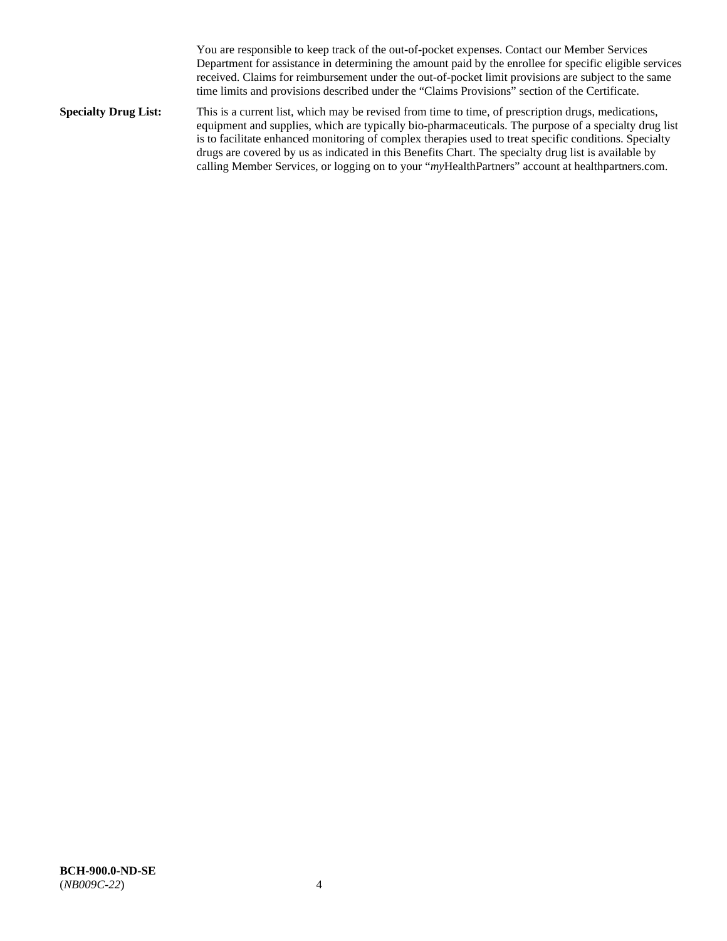You are responsible to keep track of the out-of-pocket expenses. Contact our Member Services Department for assistance in determining the amount paid by the enrollee for specific eligible services received. Claims for reimbursement under the out-of-pocket limit provisions are subject to the same time limits and provisions described under the "Claims Provisions" section of the Certificate.

**Specialty Drug List:** This is a current list, which may be revised from time to time, of prescription drugs, medications, equipment and supplies, which are typically bio-pharmaceuticals. The purpose of a specialty drug list is to facilitate enhanced monitoring of complex therapies used to treat specific conditions. Specialty drugs are covered by us as indicated in this Benefits Chart. The specialty drug list is available by calling Member Services, or logging on to your "*my*HealthPartners" account at [healthpartners.com.](http://www.healthpartners.com/)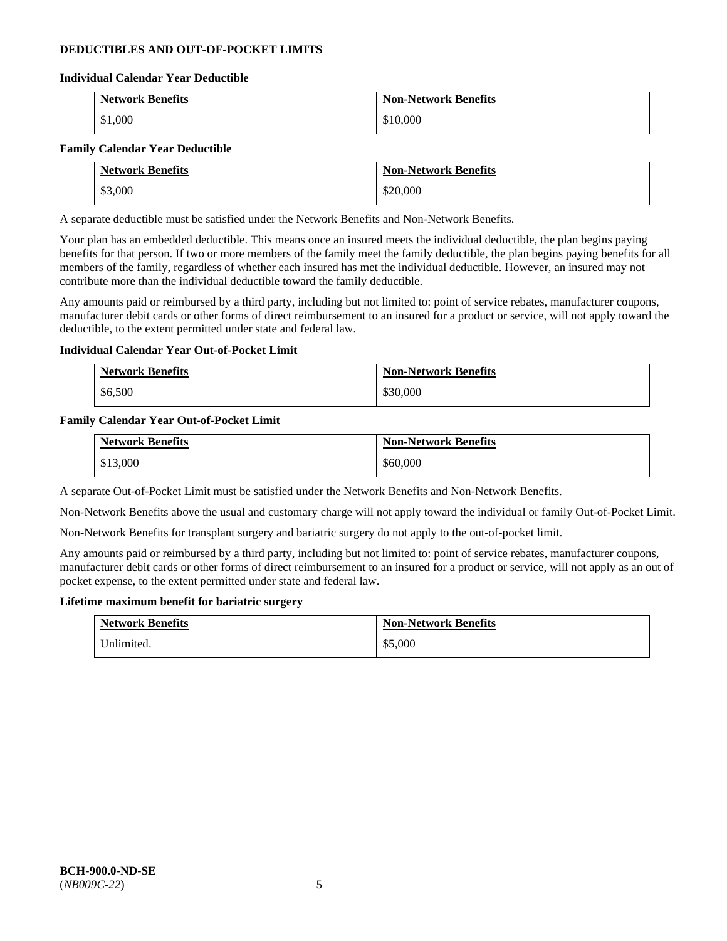## **DEDUCTIBLES AND OUT-OF-POCKET LIMITS**

## **Individual Calendar Year Deductible**

| <b>Network Benefits</b> | <b>Non-Network Benefits</b> |
|-------------------------|-----------------------------|
| \$1,000                 | \$10,000                    |

## **Family Calendar Year Deductible**

|         | <b>Network Benefits</b> | <b>Non-Network Benefits</b> |
|---------|-------------------------|-----------------------------|
| \$3,000 |                         | \$20,000                    |

A separate deductible must be satisfied under the Network Benefits and Non-Network Benefits.

Your plan has an embedded deductible. This means once an insured meets the individual deductible, the plan begins paying benefits for that person. If two or more members of the family meet the family deductible, the plan begins paying benefits for all members of the family, regardless of whether each insured has met the individual deductible. However, an insured may not contribute more than the individual deductible toward the family deductible.

Any amounts paid or reimbursed by a third party, including but not limited to: point of service rebates, manufacturer coupons, manufacturer debit cards or other forms of direct reimbursement to an insured for a product or service, will not apply toward the deductible, to the extent permitted under state and federal law.

## **Individual Calendar Year Out-of-Pocket Limit**

| <b>Network Benefits</b> | <b>Non-Network Benefits</b> |
|-------------------------|-----------------------------|
| \$6,500                 | \$30,000                    |

## **Family Calendar Year Out-of-Pocket Limit**

| <b>Network Benefits</b> | <b>Non-Network Benefits</b> |
|-------------------------|-----------------------------|
| \$13,000                | \$60,000                    |

A separate Out-of-Pocket Limit must be satisfied under the Network Benefits and Non-Network Benefits.

Non-Network Benefits above the usual and customary charge will not apply toward the individual or family Out-of-Pocket Limit.

Non-Network Benefits for transplant surgery and bariatric surgery do not apply to the out-of-pocket limit.

Any amounts paid or reimbursed by a third party, including but not limited to: point of service rebates, manufacturer coupons, manufacturer debit cards or other forms of direct reimbursement to an insured for a product or service, will not apply as an out of pocket expense, to the extent permitted under state and federal law.

#### **Lifetime maximum benefit for bariatric surgery**

| <b>Network Benefits</b> | <b>Non-Network Benefits</b> |
|-------------------------|-----------------------------|
| Inlimited.              | \$5,000                     |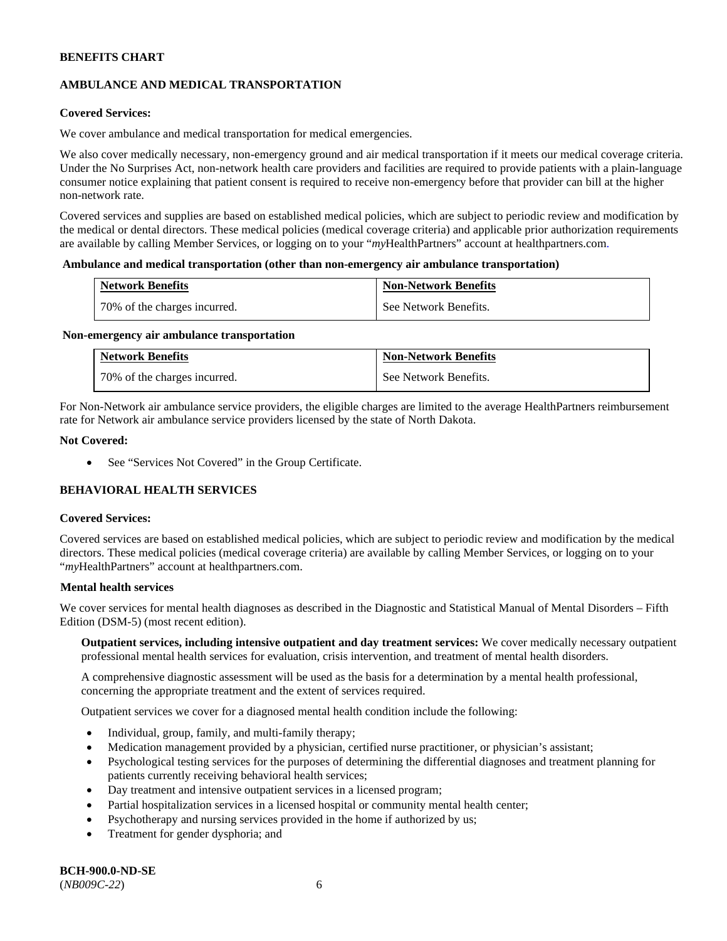## **AMBULANCE AND MEDICAL TRANSPORTATION**

## **Covered Services:**

We cover ambulance and medical transportation for medical emergencies.

We also cover medically necessary, non-emergency ground and air medical transportation if it meets our medical coverage criteria. Under the No Surprises Act, non-network health care providers and facilities are required to provide patients with a plain-language consumer notice explaining that patient consent is required to receive non-emergency before that provider can bill at the higher non-network rate.

Covered services and supplies are based on established medical policies, which are subject to periodic review and modification by the medical or dental directors. These medical policies (medical coverage criteria) and applicable prior authorization requirements are available by calling Member Services, or logging on to your "*my*HealthPartners" account a[t healthpartners.com.](http://www.healthpartners.com/)

## **Ambulance and medical transportation (other than non-emergency air ambulance transportation)**

| <b>Network Benefits</b>      | <b>Non-Network Benefits</b> |
|------------------------------|-----------------------------|
| 70% of the charges incurred. | See Network Benefits.       |

#### **Non-emergency air ambulance transportation**

| <b>Network Benefits</b>      | <b>Non-Network Benefits</b> |
|------------------------------|-----------------------------|
| 70% of the charges incurred. | See Network Benefits.       |

For Non-Network air ambulance service providers, the eligible charges are limited to the average HealthPartners reimbursement rate for Network air ambulance service providers licensed by the state of North Dakota.

## **Not Covered:**

• See "Services Not Covered" in the Group Certificate.

## **BEHAVIORAL HEALTH SERVICES**

#### **Covered Services:**

Covered services are based on established medical policies, which are subject to periodic review and modification by the medical directors. These medical policies (medical coverage criteria) are available by calling Member Services, or logging on to your "*my*HealthPartners" account at [healthpartners.com.](http://healthpartners.com/)

## **Mental health services**

We cover services for mental health diagnoses as described in the Diagnostic and Statistical Manual of Mental Disorders - Fifth Edition (DSM-5) (most recent edition).

**Outpatient services, including intensive outpatient and day treatment services:** We cover medically necessary outpatient professional mental health services for evaluation, crisis intervention, and treatment of mental health disorders.

A comprehensive diagnostic assessment will be used as the basis for a determination by a mental health professional, concerning the appropriate treatment and the extent of services required.

Outpatient services we cover for a diagnosed mental health condition include the following:

- Individual, group, family, and multi-family therapy;
- Medication management provided by a physician, certified nurse practitioner, or physician's assistant;
- Psychological testing services for the purposes of determining the differential diagnoses and treatment planning for patients currently receiving behavioral health services;
- Day treatment and intensive outpatient services in a licensed program;
- Partial hospitalization services in a licensed hospital or community mental health center;
- Psychotherapy and nursing services provided in the home if authorized by us;
- Treatment for gender dysphoria; and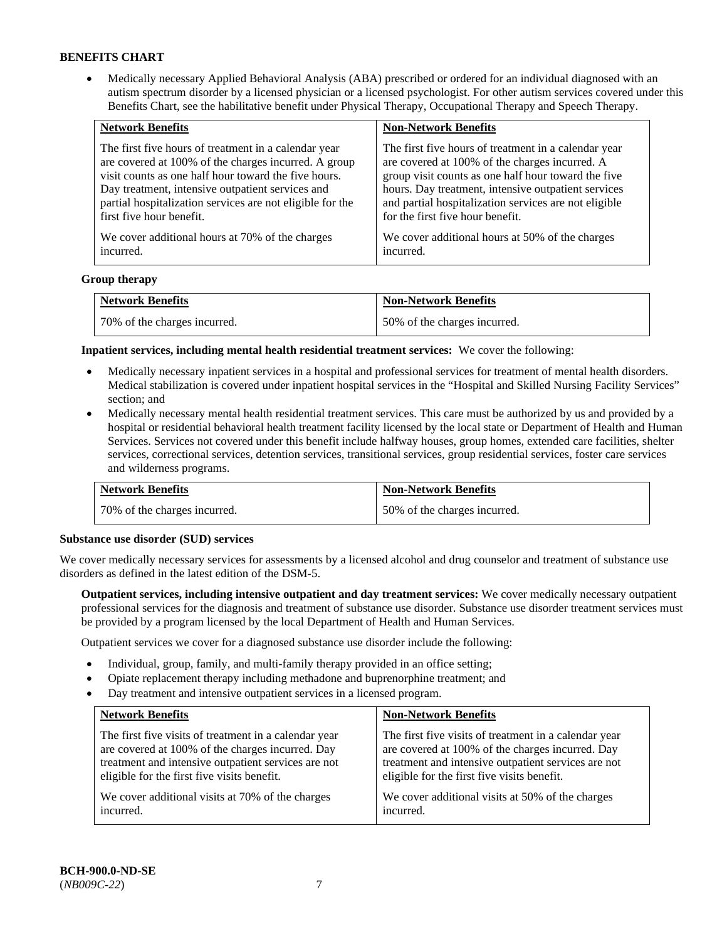• Medically necessary Applied Behavioral Analysis (ABA) prescribed or ordered for an individual diagnosed with an autism spectrum disorder by a licensed physician or a licensed psychologist. For other autism services covered under this Benefits Chart, see the habilitative benefit under Physical Therapy, Occupational Therapy and Speech Therapy.

| <b>Network Benefits</b>                                   | <b>Non-Network Benefits</b>                           |
|-----------------------------------------------------------|-------------------------------------------------------|
| The first five hours of treatment in a calendar year      | The first five hours of treatment in a calendar year  |
| are covered at 100% of the charges incurred. A group      | are covered at 100% of the charges incurred. A        |
| visit counts as one half hour toward the five hours.      | group visit counts as one half hour toward the five   |
| Day treatment, intensive outpatient services and          | hours. Day treatment, intensive outpatient services   |
| partial hospitalization services are not eligible for the | and partial hospitalization services are not eligible |
| first five hour benefit.                                  | for the first five hour benefit.                      |
| We cover additional hours at 70% of the charges           | We cover additional hours at 50% of the charges       |
| incurred.                                                 | incurred.                                             |

## **Group therapy**

| <b>Network Benefits</b>        | <b>Non-Network Benefits</b>  |
|--------------------------------|------------------------------|
| 1 70% of the charges incurred. | 50% of the charges incurred. |

**Inpatient services, including mental health residential treatment services:** We cover the following:

- Medically necessary inpatient services in a hospital and professional services for treatment of mental health disorders. Medical stabilization is covered under inpatient hospital services in the "Hospital and Skilled Nursing Facility Services" section; and
- Medically necessary mental health residential treatment services. This care must be authorized by us and provided by a hospital or residential behavioral health treatment facility licensed by the local state or Department of Health and Human Services. Services not covered under this benefit include halfway houses, group homes, extended care facilities, shelter services, correctional services, detention services, transitional services, group residential services, foster care services and wilderness programs.

| <b>Network Benefits</b>      | <b>Non-Network Benefits</b>  |
|------------------------------|------------------------------|
| 70% of the charges incurred. | 50% of the charges incurred. |

#### **Substance use disorder (SUD) services**

We cover medically necessary services for assessments by a licensed alcohol and drug counselor and treatment of substance use disorders as defined in the latest edition of the DSM-5.

**Outpatient services, including intensive outpatient and day treatment services:** We cover medically necessary outpatient professional services for the diagnosis and treatment of substance use disorder. Substance use disorder treatment services must be provided by a program licensed by the local Department of Health and Human Services.

Outpatient services we cover for a diagnosed substance use disorder include the following:

- Individual, group, family, and multi-family therapy provided in an office setting;
- Opiate replacement therapy including methadone and buprenorphine treatment; and
- Day treatment and intensive outpatient services in a licensed program.

| <b>Network Benefits</b>                               | <b>Non-Network Benefits</b>                           |
|-------------------------------------------------------|-------------------------------------------------------|
| The first five visits of treatment in a calendar year | The first five visits of treatment in a calendar year |
| are covered at 100% of the charges incurred. Day      | are covered at 100% of the charges incurred. Day      |
| treatment and intensive outpatient services are not   | treatment and intensive outpatient services are not   |
| eligible for the first five visits benefit.           | eligible for the first five visits benefit.           |
| We cover additional visits at 70% of the charges      | We cover additional visits at 50% of the charges      |
| incurred.                                             | incurred.                                             |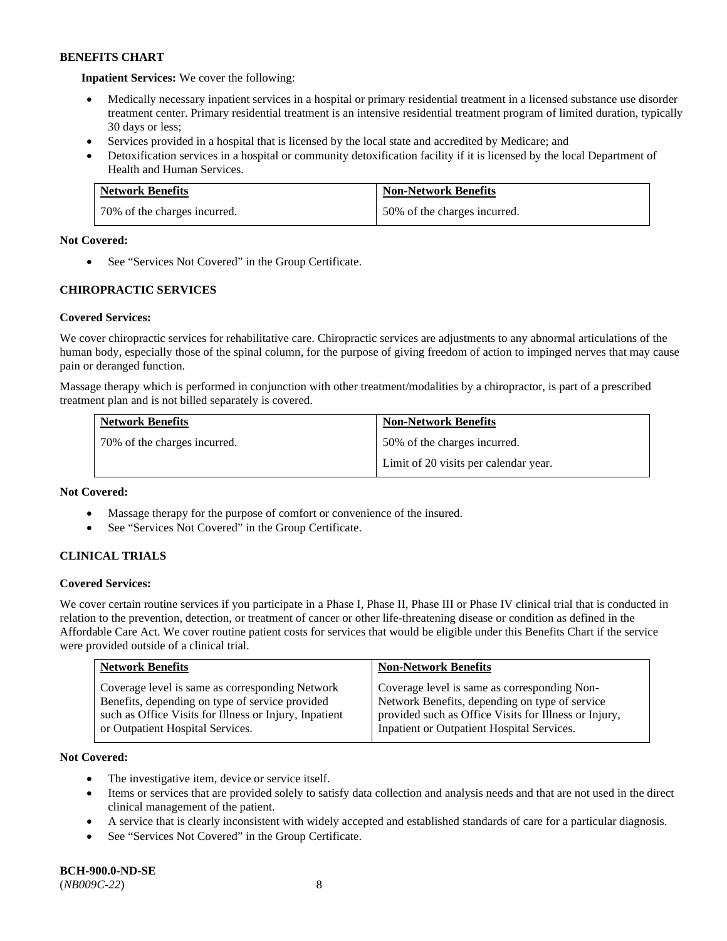**Inpatient Services:** We cover the following:

- Medically necessary inpatient services in a hospital or primary residential treatment in a licensed substance use disorder treatment center. Primary residential treatment is an intensive residential treatment program of limited duration, typically 30 days or less;
- Services provided in a hospital that is licensed by the local state and accredited by Medicare; and
- Detoxification services in a hospital or community detoxification facility if it is licensed by the local Department of Health and Human Services.

| <b>Network Benefits</b>      | <b>Non-Network Benefits</b>  |
|------------------------------|------------------------------|
| 70% of the charges incurred. | 50% of the charges incurred. |

## **Not Covered:**

• See "Services Not Covered" in the Group Certificate.

## **CHIROPRACTIC SERVICES**

## **Covered Services:**

We cover chiropractic services for rehabilitative care. Chiropractic services are adjustments to any abnormal articulations of the human body, especially those of the spinal column, for the purpose of giving freedom of action to impinged nerves that may cause pain or deranged function.

Massage therapy which is performed in conjunction with other treatment/modalities by a chiropractor, is part of a prescribed treatment plan and is not billed separately is covered.

| <b>Network Benefits</b>      | <b>Non-Network Benefits</b>           |
|------------------------------|---------------------------------------|
| 70% of the charges incurred. | 50% of the charges incurred.          |
|                              | Limit of 20 visits per calendar year. |

## **Not Covered:**

- Massage therapy for the purpose of comfort or convenience of the insured.
- See "Services Not Covered" in the Group Certificate.

## **CLINICAL TRIALS**

## **Covered Services:**

We cover certain routine services if you participate in a Phase I, Phase II, Phase III or Phase IV clinical trial that is conducted in relation to the prevention, detection, or treatment of cancer or other life-threatening disease or condition as defined in the Affordable Care Act. We cover routine patient costs for services that would be eligible under this Benefits Chart if the service were provided outside of a clinical trial.

| <b>Network Benefits</b>                                                                                                                                                                          | <b>Non-Network Benefits</b>                                                                                                                                                                           |
|--------------------------------------------------------------------------------------------------------------------------------------------------------------------------------------------------|-------------------------------------------------------------------------------------------------------------------------------------------------------------------------------------------------------|
| Coverage level is same as corresponding Network<br>Benefits, depending on type of service provided<br>such as Office Visits for Illness or Injury, Inpatient<br>or Outpatient Hospital Services. | Coverage level is same as corresponding Non-<br>Network Benefits, depending on type of service<br>provided such as Office Visits for Illness or Injury,<br>Inpatient or Outpatient Hospital Services. |

## **Not Covered:**

- The investigative item, device or service itself.
- Items or services that are provided solely to satisfy data collection and analysis needs and that are not used in the direct clinical management of the patient.
- A service that is clearly inconsistent with widely accepted and established standards of care for a particular diagnosis.
- See "Services Not Covered" in the Group Certificate.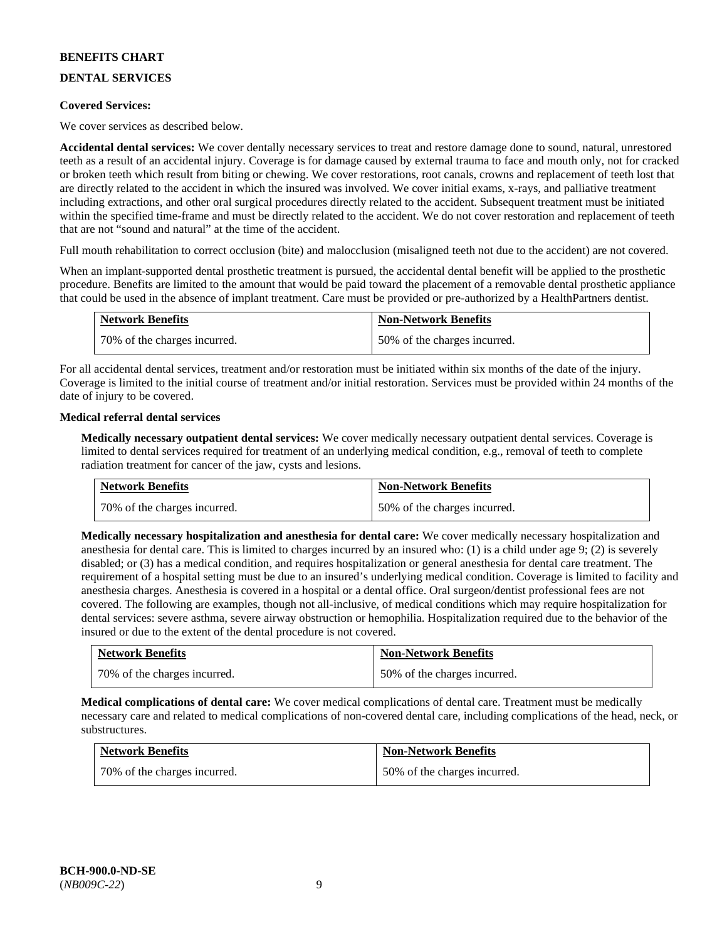## **DENTAL SERVICES**

## **Covered Services:**

We cover services as described below.

**Accidental dental services:** We cover dentally necessary services to treat and restore damage done to sound, natural, unrestored teeth as a result of an accidental injury. Coverage is for damage caused by external trauma to face and mouth only, not for cracked or broken teeth which result from biting or chewing. We cover restorations, root canals, crowns and replacement of teeth lost that are directly related to the accident in which the insured was involved. We cover initial exams, x-rays, and palliative treatment including extractions, and other oral surgical procedures directly related to the accident. Subsequent treatment must be initiated within the specified time-frame and must be directly related to the accident. We do not cover restoration and replacement of teeth that are not "sound and natural" at the time of the accident.

Full mouth rehabilitation to correct occlusion (bite) and malocclusion (misaligned teeth not due to the accident) are not covered.

When an implant-supported dental prosthetic treatment is pursued, the accidental dental benefit will be applied to the prosthetic procedure. Benefits are limited to the amount that would be paid toward the placement of a removable dental prosthetic appliance that could be used in the absence of implant treatment. Care must be provided or pre-authorized by a HealthPartners dentist.

| <b>Network Benefits</b>      | <b>Non-Network Benefits</b>  |
|------------------------------|------------------------------|
| 70% of the charges incurred. | 50% of the charges incurred. |

For all accidental dental services, treatment and/or restoration must be initiated within six months of the date of the injury. Coverage is limited to the initial course of treatment and/or initial restoration. Services must be provided within 24 months of the date of injury to be covered.

## **Medical referral dental services**

**Medically necessary outpatient dental services:** We cover medically necessary outpatient dental services. Coverage is limited to dental services required for treatment of an underlying medical condition, e.g., removal of teeth to complete radiation treatment for cancer of the jaw, cysts and lesions.

| <b>Network Benefits</b>      | <b>Non-Network Benefits</b>  |
|------------------------------|------------------------------|
| 70% of the charges incurred. | 50% of the charges incurred. |

**Medically necessary hospitalization and anesthesia for dental care:** We cover medically necessary hospitalization and anesthesia for dental care. This is limited to charges incurred by an insured who: (1) is a child under age 9; (2) is severely disabled; or (3) has a medical condition, and requires hospitalization or general anesthesia for dental care treatment. The requirement of a hospital setting must be due to an insured's underlying medical condition. Coverage is limited to facility and anesthesia charges. Anesthesia is covered in a hospital or a dental office. Oral surgeon/dentist professional fees are not covered. The following are examples, though not all-inclusive, of medical conditions which may require hospitalization for dental services: severe asthma, severe airway obstruction or hemophilia. Hospitalization required due to the behavior of the insured or due to the extent of the dental procedure is not covered.

| <b>Network Benefits</b>      | <b>Non-Network Benefits</b>  |
|------------------------------|------------------------------|
| 70% of the charges incurred. | 50% of the charges incurred. |

**Medical complications of dental care:** We cover medical complications of dental care. Treatment must be medically necessary care and related to medical complications of non-covered dental care, including complications of the head, neck, or substructures.

| <b>Network Benefits</b>      | <b>Non-Network Benefits</b>  |
|------------------------------|------------------------------|
| 70% of the charges incurred. | 50% of the charges incurred. |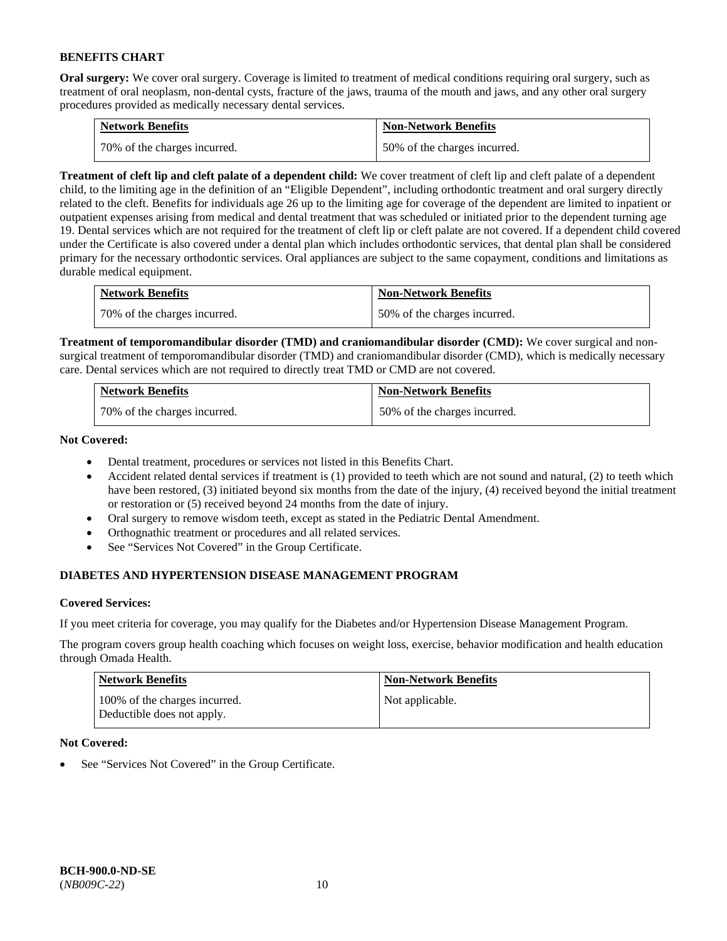**Oral surgery:** We cover oral surgery. Coverage is limited to treatment of medical conditions requiring oral surgery, such as treatment of oral neoplasm, non-dental cysts, fracture of the jaws, trauma of the mouth and jaws, and any other oral surgery procedures provided as medically necessary dental services.

| <b>Network Benefits</b>        | <b>Non-Network Benefits</b>  |
|--------------------------------|------------------------------|
| 1 70% of the charges incurred. | 50% of the charges incurred. |

**Treatment of cleft lip and cleft palate of a dependent child:** We cover treatment of cleft lip and cleft palate of a dependent child, to the limiting age in the definition of an "Eligible Dependent", including orthodontic treatment and oral surgery directly related to the cleft. Benefits for individuals age 26 up to the limiting age for coverage of the dependent are limited to inpatient or outpatient expenses arising from medical and dental treatment that was scheduled or initiated prior to the dependent turning age 19. Dental services which are not required for the treatment of cleft lip or cleft palate are not covered. If a dependent child covered under the Certificate is also covered under a dental plan which includes orthodontic services, that dental plan shall be considered primary for the necessary orthodontic services. Oral appliances are subject to the same copayment, conditions and limitations as durable medical equipment.

| <b>Network Benefits</b>      | <b>Non-Network Benefits</b>  |
|------------------------------|------------------------------|
| 70% of the charges incurred. | 50% of the charges incurred. |

**Treatment of temporomandibular disorder (TMD) and craniomandibular disorder (CMD):** We cover surgical and nonsurgical treatment of temporomandibular disorder (TMD) and craniomandibular disorder (CMD), which is medically necessary care. Dental services which are not required to directly treat TMD or CMD are not covered.

| <b>Network Benefits</b>      | <b>Non-Network Benefits</b>  |
|------------------------------|------------------------------|
| 70% of the charges incurred. | 50% of the charges incurred. |

**Not Covered:** 

- Dental treatment, procedures or services not listed in this Benefits Chart.
- Accident related dental services if treatment is (1) provided to teeth which are not sound and natural, (2) to teeth which have been restored, (3) initiated beyond six months from the date of the injury, (4) received beyond the initial treatment or restoration or (5) received beyond 24 months from the date of injury.
- Oral surgery to remove wisdom teeth, except as stated in the Pediatric Dental Amendment.
- Orthognathic treatment or procedures and all related services.
- See "Services Not Covered" in the Group Certificate.

## **DIABETES AND HYPERTENSION DISEASE MANAGEMENT PROGRAM**

## **Covered Services:**

If you meet criteria for coverage, you may qualify for the Diabetes and/or Hypertension Disease Management Program.

The program covers group health coaching which focuses on weight loss, exercise, behavior modification and health education through Omada Health.

| <b>Network Benefits</b>                                     | <b>Non-Network Benefits</b> |
|-------------------------------------------------------------|-----------------------------|
| 100% of the charges incurred.<br>Deductible does not apply. | Not applicable.             |

## **Not Covered:**

See "Services Not Covered" in the Group Certificate.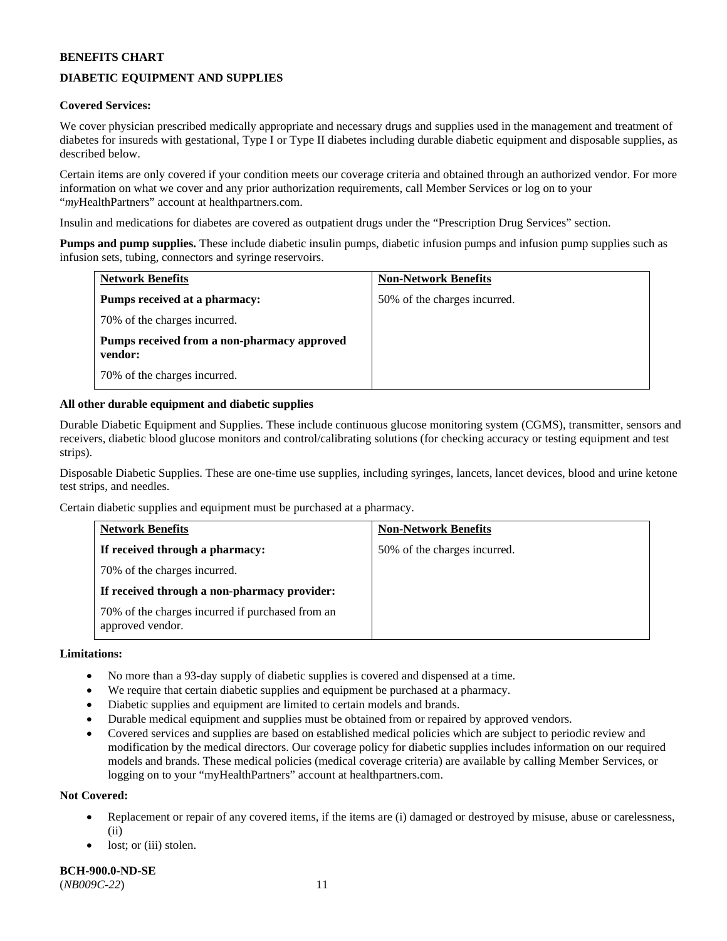## **DIABETIC EQUIPMENT AND SUPPLIES**

## **Covered Services:**

We cover physician prescribed medically appropriate and necessary drugs and supplies used in the management and treatment of diabetes for insureds with gestational, Type I or Type II diabetes including durable diabetic equipment and disposable supplies, as described below.

Certain items are only covered if your condition meets our coverage criteria and obtained through an authorized vendor. For more information on what we cover and any prior authorization requirements, call Member Services or log on to your "*my*HealthPartners" account at [healthpartners.com.](http://www.healthpartners.com/)

Insulin and medications for diabetes are covered as outpatient drugs under the "Prescription Drug Services" section.

**Pumps and pump supplies.** These include diabetic insulin pumps, diabetic infusion pumps and infusion pump supplies such as infusion sets, tubing, connectors and syringe reservoirs.

| <b>Network Benefits</b>                                | <b>Non-Network Benefits</b>  |
|--------------------------------------------------------|------------------------------|
| <b>Pumps received at a pharmacy:</b>                   | 50% of the charges incurred. |
| 70% of the charges incurred.                           |                              |
| Pumps received from a non-pharmacy approved<br>vendor: |                              |
| 70% of the charges incurred.                           |                              |

## **All other durable equipment and diabetic supplies**

Durable Diabetic Equipment and Supplies. These include continuous glucose monitoring system (CGMS), transmitter, sensors and receivers, diabetic blood glucose monitors and control/calibrating solutions (for checking accuracy or testing equipment and test strips).

Disposable Diabetic Supplies. These are one-time use supplies, including syringes, lancets, lancet devices, blood and urine ketone test strips, and needles.

Certain diabetic supplies and equipment must be purchased at a pharmacy.

| <b>Network Benefits</b>                                              | <b>Non-Network Benefits</b>  |
|----------------------------------------------------------------------|------------------------------|
| If received through a pharmacy:                                      | 50% of the charges incurred. |
| 70% of the charges incurred.                                         |                              |
| If received through a non-pharmacy provider:                         |                              |
| 70% of the charges incurred if purchased from an<br>approved vendor. |                              |

## **Limitations:**

- No more than a 93-day supply of diabetic supplies is covered and dispensed at a time.
- We require that certain diabetic supplies and equipment be purchased at a pharmacy.
- Diabetic supplies and equipment are limited to certain models and brands.
- Durable medical equipment and supplies must be obtained from or repaired by approved vendors.
- Covered services and supplies are based on established medical policies which are subject to periodic review and modification by the medical directors. Our coverage policy for diabetic supplies includes information on our required models and brands. These medical policies (medical coverage criteria) are available by calling Member Services, or logging on to your "myHealthPartners" account a[t healthpartners.com.](http://www.healthpartners.com/)

#### **Not Covered:**

- Replacement or repair of any covered items, if the items are (i) damaged or destroyed by misuse, abuse or carelessness, (ii)
- lost; or (iii) stolen.

**BCH-900.0-ND-SE** (*NB009C-22*) 11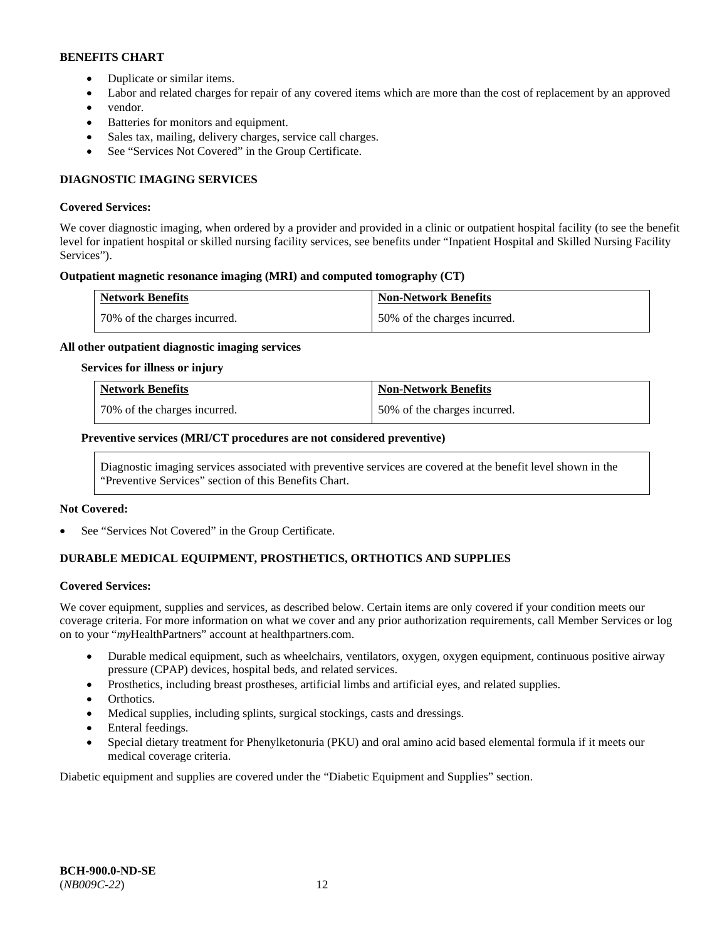- Duplicate or similar items.
- Labor and related charges for repair of any covered items which are more than the cost of replacement by an approved
- vendor.
- Batteries for monitors and equipment.
- Sales tax, mailing, delivery charges, service call charges.
- See "Services Not Covered" in the Group Certificate.

## **DIAGNOSTIC IMAGING SERVICES**

## **Covered Services:**

We cover diagnostic imaging, when ordered by a provider and provided in a clinic or outpatient hospital facility (to see the benefit level for inpatient hospital or skilled nursing facility services, see benefits under "Inpatient Hospital and Skilled Nursing Facility Services").

## **Outpatient magnetic resonance imaging (MRI) and computed tomography (CT)**

| <b>Network Benefits</b>      | <b>Non-Network Benefits</b>  |
|------------------------------|------------------------------|
| 70% of the charges incurred. | 50% of the charges incurred. |

## **All other outpatient diagnostic imaging services**

#### **Services for illness or injury**

| <b>Network Benefits</b>      | <b>Non-Network Benefits</b>  |
|------------------------------|------------------------------|
| 70% of the charges incurred. | 50% of the charges incurred. |

## **Preventive services (MRI/CT procedures are not considered preventive)**

Diagnostic imaging services associated with preventive services are covered at the benefit level shown in the "Preventive Services" section of this Benefits Chart.

#### **Not Covered:**

See "Services Not Covered" in the Group Certificate.

## **DURABLE MEDICAL EQUIPMENT, PROSTHETICS, ORTHOTICS AND SUPPLIES**

#### **Covered Services:**

We cover equipment, supplies and services, as described below. Certain items are only covered if your condition meets our coverage criteria. For more information on what we cover and any prior authorization requirements, call Member Services or log on to your "*my*HealthPartners" account at [healthpartners.com.](http://www.healthpartners.com/)

- Durable medical equipment, such as wheelchairs, ventilators, oxygen, oxygen equipment, continuous positive airway pressure (CPAP) devices, hospital beds, and related services.
- Prosthetics, including breast prostheses, artificial limbs and artificial eyes, and related supplies.
- Orthotics.
- Medical supplies, including splints, surgical stockings, casts and dressings.
- Enteral feedings.
- Special dietary treatment for Phenylketonuria (PKU) and oral amino acid based elemental formula if it meets our medical coverage criteria.

Diabetic equipment and supplies are covered under the "Diabetic Equipment and Supplies" section.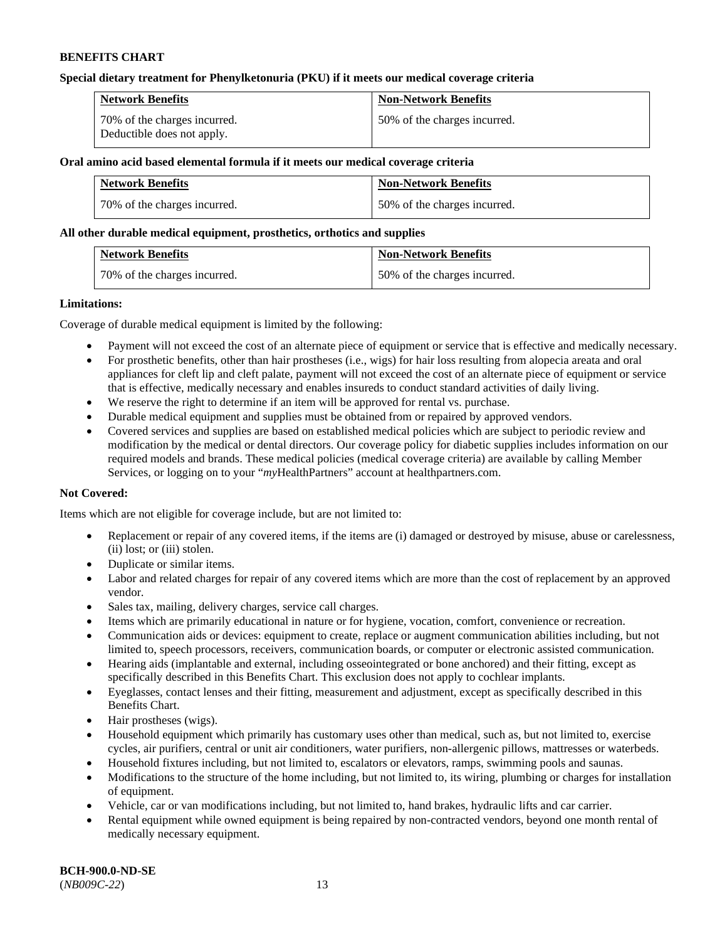## **Special dietary treatment for Phenylketonuria (PKU) if it meets our medical coverage criteria**

| <b>Network Benefits</b>                                    | <b>Non-Network Benefits</b>  |
|------------------------------------------------------------|------------------------------|
| 70% of the charges incurred.<br>Deductible does not apply. | 50% of the charges incurred. |

#### **Oral amino acid based elemental formula if it meets our medical coverage criteria**

| <b>Network Benefits</b>      | <b>Non-Network Benefits</b>  |
|------------------------------|------------------------------|
| 70% of the charges incurred. | 50% of the charges incurred. |

## **All other durable medical equipment, prosthetics, orthotics and supplies**

| <b>Network Benefits</b>      | <b>Non-Network Benefits</b>  |
|------------------------------|------------------------------|
| 70% of the charges incurred. | 50% of the charges incurred. |

## **Limitations:**

Coverage of durable medical equipment is limited by the following:

- Payment will not exceed the cost of an alternate piece of equipment or service that is effective and medically necessary.
- For prosthetic benefits, other than hair prostheses (i.e., wigs) for hair loss resulting from alopecia areata and oral appliances for cleft lip and cleft palate, payment will not exceed the cost of an alternate piece of equipment or service that is effective, medically necessary and enables insureds to conduct standard activities of daily living.
- We reserve the right to determine if an item will be approved for rental vs. purchase.
- Durable medical equipment and supplies must be obtained from or repaired by approved vendors.
- Covered services and supplies are based on established medical policies which are subject to periodic review and modification by the medical or dental directors. Our coverage policy for diabetic supplies includes information on our required models and brands. These medical policies (medical coverage criteria) are available by calling Member Services, or logging on to your "*my*HealthPartners" account at [healthpartners.com.](http://www.healthpartners.com/)

## **Not Covered:**

Items which are not eligible for coverage include, but are not limited to:

- Replacement or repair of any covered items, if the items are (i) damaged or destroyed by misuse, abuse or carelessness, (ii) lost; or (iii) stolen.
- Duplicate or similar items.
- Labor and related charges for repair of any covered items which are more than the cost of replacement by an approved vendor.
- Sales tax, mailing, delivery charges, service call charges.
- Items which are primarily educational in nature or for hygiene, vocation, comfort, convenience or recreation.
- Communication aids or devices: equipment to create, replace or augment communication abilities including, but not limited to, speech processors, receivers, communication boards, or computer or electronic assisted communication.
- Hearing aids (implantable and external, including osseointegrated or bone anchored) and their fitting, except as specifically described in this Benefits Chart. This exclusion does not apply to cochlear implants.
- Eyeglasses, contact lenses and their fitting, measurement and adjustment, except as specifically described in this Benefits Chart.
- Hair prostheses (wigs).
- Household equipment which primarily has customary uses other than medical, such as, but not limited to, exercise cycles, air purifiers, central or unit air conditioners, water purifiers, non-allergenic pillows, mattresses or waterbeds.
- Household fixtures including, but not limited to, escalators or elevators, ramps, swimming pools and saunas.
- Modifications to the structure of the home including, but not limited to, its wiring, plumbing or charges for installation of equipment.
- Vehicle, car or van modifications including, but not limited to, hand brakes, hydraulic lifts and car carrier.
- Rental equipment while owned equipment is being repaired by non-contracted vendors, beyond one month rental of medically necessary equipment.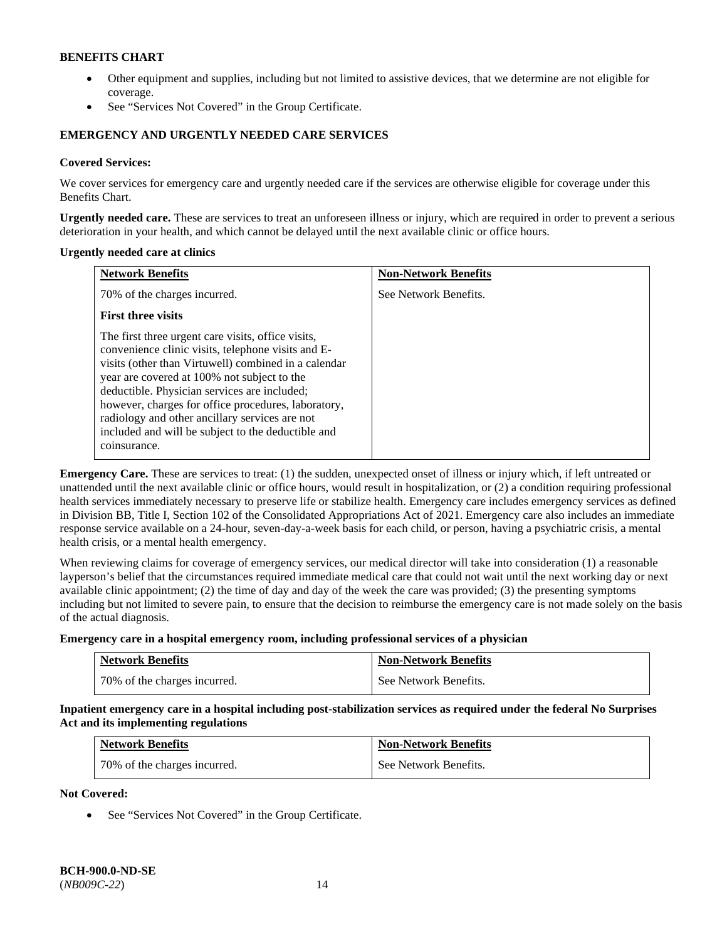- Other equipment and supplies, including but not limited to assistive devices, that we determine are not eligible for coverage.
- See "Services Not Covered" in the Group Certificate.

## **EMERGENCY AND URGENTLY NEEDED CARE SERVICES**

## **Covered Services:**

We cover services for emergency care and urgently needed care if the services are otherwise eligible for coverage under this Benefits Chart.

**Urgently needed care.** These are services to treat an unforeseen illness or injury, which are required in order to prevent a serious deterioration in your health, and which cannot be delayed until the next available clinic or office hours.

#### **Urgently needed care at clinics**

| <b>Network Benefits</b>                                                                                                                                                                                                                                                                                                                                                                                                                        | <b>Non-Network Benefits</b> |
|------------------------------------------------------------------------------------------------------------------------------------------------------------------------------------------------------------------------------------------------------------------------------------------------------------------------------------------------------------------------------------------------------------------------------------------------|-----------------------------|
| 70% of the charges incurred.                                                                                                                                                                                                                                                                                                                                                                                                                   | See Network Benefits.       |
| <b>First three visits</b>                                                                                                                                                                                                                                                                                                                                                                                                                      |                             |
| The first three urgent care visits, office visits,<br>convenience clinic visits, telephone visits and E-<br>visits (other than Virtuwell) combined in a calendar<br>year are covered at 100% not subject to the<br>deductible. Physician services are included;<br>however, charges for office procedures, laboratory,<br>radiology and other ancillary services are not<br>included and will be subject to the deductible and<br>coinsurance. |                             |

**Emergency Care.** These are services to treat: (1) the sudden, unexpected onset of illness or injury which, if left untreated or unattended until the next available clinic or office hours, would result in hospitalization, or (2) a condition requiring professional health services immediately necessary to preserve life or stabilize health. Emergency care includes emergency services as defined in Division BB, Title I, Section 102 of the Consolidated Appropriations Act of 2021. Emergency care also includes an immediate response service available on a 24-hour, seven-day-a-week basis for each child, or person, having a psychiatric crisis, a mental health crisis, or a mental health emergency.

When reviewing claims for coverage of emergency services, our medical director will take into consideration (1) a reasonable layperson's belief that the circumstances required immediate medical care that could not wait until the next working day or next available clinic appointment; (2) the time of day and day of the week the care was provided; (3) the presenting symptoms including but not limited to severe pain, to ensure that the decision to reimburse the emergency care is not made solely on the basis of the actual diagnosis.

**Emergency care in a hospital emergency room, including professional services of a physician**

| <b>Network Benefits</b>      | <b>Non-Network Benefits</b> |
|------------------------------|-----------------------------|
| 70% of the charges incurred. | See Network Benefits.       |

**Inpatient emergency care in a hospital including post-stabilization services as required under the federal No Surprises Act and its implementing regulations**

| <b>Network Benefits</b>      | <b>Non-Network Benefits</b> |
|------------------------------|-----------------------------|
| 70% of the charges incurred. | See Network Benefits.       |

**Not Covered:**

• See "Services Not Covered" in the Group Certificate.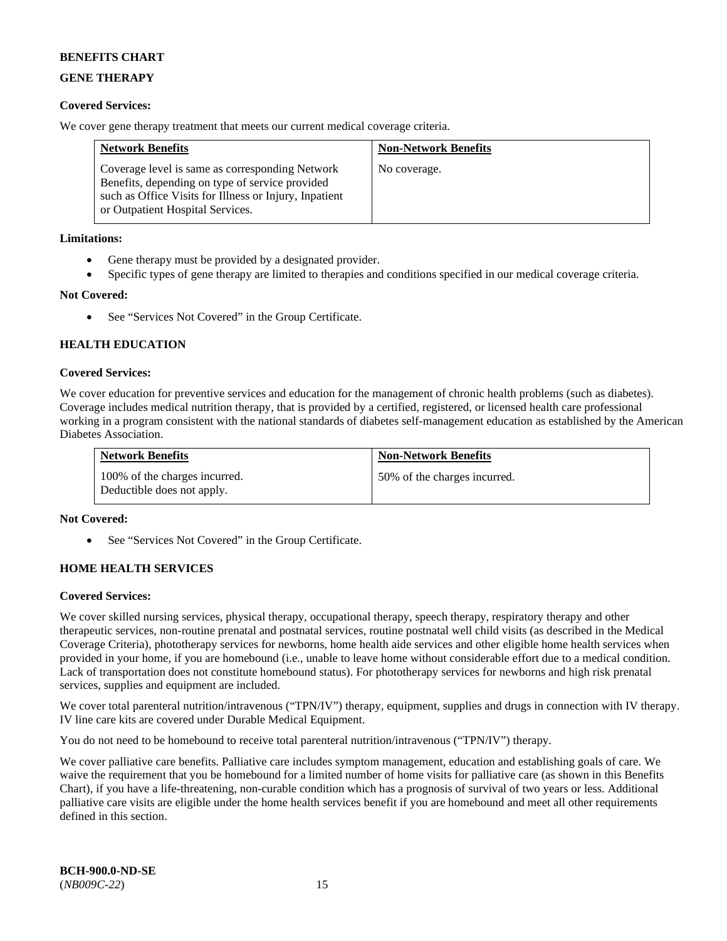## **GENE THERAPY**

## **Covered Services:**

We cover gene therapy treatment that meets our current medical coverage criteria.

| <b>Network Benefits</b>                                                                                                                                                                          | <b>Non-Network Benefits</b> |
|--------------------------------------------------------------------------------------------------------------------------------------------------------------------------------------------------|-----------------------------|
| Coverage level is same as corresponding Network<br>Benefits, depending on type of service provided<br>such as Office Visits for Illness or Injury, Inpatient<br>or Outpatient Hospital Services. | No coverage.                |

## **Limitations:**

- Gene therapy must be provided by a designated provider.
- Specific types of gene therapy are limited to therapies and conditions specified in our medical coverage criteria.

## **Not Covered:**

See "Services Not Covered" in the Group Certificate.

## **HEALTH EDUCATION**

## **Covered Services:**

We cover education for preventive services and education for the management of chronic health problems (such as diabetes). Coverage includes medical nutrition therapy, that is provided by a certified, registered, or licensed health care professional working in a program consistent with the national standards of diabetes self-management education as established by the American Diabetes Association.

| <b>Network Benefits</b>                                     | <b>Non-Network Benefits</b>  |
|-------------------------------------------------------------|------------------------------|
| 100% of the charges incurred.<br>Deductible does not apply. | 50% of the charges incurred. |

## **Not Covered:**

See "Services Not Covered" in the Group Certificate.

## **HOME HEALTH SERVICES**

## **Covered Services:**

We cover skilled nursing services, physical therapy, occupational therapy, speech therapy, respiratory therapy and other therapeutic services, non-routine prenatal and postnatal services, routine postnatal well child visits (as described in the Medical Coverage Criteria), phototherapy services for newborns, home health aide services and other eligible home health services when provided in your home, if you are homebound (i.e., unable to leave home without considerable effort due to a medical condition. Lack of transportation does not constitute homebound status). For phototherapy services for newborns and high risk prenatal services, supplies and equipment are included.

We cover total parenteral nutrition/intravenous ("TPN/IV") therapy, equipment, supplies and drugs in connection with IV therapy. IV line care kits are covered under Durable Medical Equipment.

You do not need to be homebound to receive total parenteral nutrition/intravenous ("TPN/IV") therapy.

We cover palliative care benefits. Palliative care includes symptom management, education and establishing goals of care. We waive the requirement that you be homebound for a limited number of home visits for palliative care (as shown in this Benefits Chart), if you have a life-threatening, non-curable condition which has a prognosis of survival of two years or less. Additional palliative care visits are eligible under the home health services benefit if you are homebound and meet all other requirements defined in this section.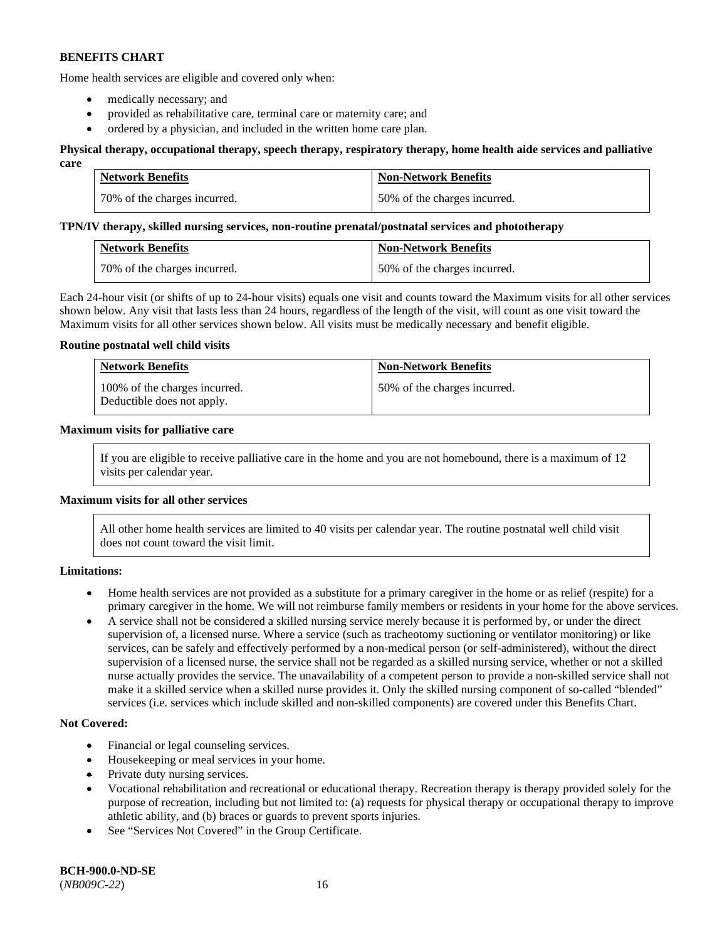Home health services are eligible and covered only when:

- medically necessary; and
- provided as rehabilitative care, terminal care or maternity care; and
- ordered by a physician, and included in the written home care plan.

#### **Physical therapy, occupational therapy, speech therapy, respiratory therapy, home health aide services and palliative care**

| <b>Network Benefits</b>      | <b>Non-Network Benefits</b>  |
|------------------------------|------------------------------|
| 70% of the charges incurred. | 50% of the charges incurred. |

#### **TPN/IV therapy, skilled nursing services, non-routine prenatal/postnatal services and phototherapy**

| <b>Network Benefits</b>      | <b>Non-Network Benefits</b>  |
|------------------------------|------------------------------|
| 70% of the charges incurred. | 50% of the charges incurred. |

Each 24-hour visit (or shifts of up to 24-hour visits) equals one visit and counts toward the Maximum visits for all other services shown below. Any visit that lasts less than 24 hours, regardless of the length of the visit, will count as one visit toward the Maximum visits for all other services shown below. All visits must be medically necessary and benefit eligible.

## **Routine postnatal well child visits**

| <b>Network Benefits</b>                                     | <b>Non-Network Benefits</b>  |
|-------------------------------------------------------------|------------------------------|
| 100% of the charges incurred.<br>Deductible does not apply. | 50% of the charges incurred. |

## **Maximum visits for palliative care**

If you are eligible to receive palliative care in the home and you are not homebound, there is a maximum of 12 visits per calendar year.

## **Maximum visits for all other services**

All other home health services are limited to 40 visits per calendar year. The routine postnatal well child visit does not count toward the visit limit.

#### **Limitations:**

- Home health services are not provided as a substitute for a primary caregiver in the home or as relief (respite) for a primary caregiver in the home. We will not reimburse family members or residents in your home for the above services.
- A service shall not be considered a skilled nursing service merely because it is performed by, or under the direct supervision of, a licensed nurse. Where a service (such as tracheotomy suctioning or ventilator monitoring) or like services, can be safely and effectively performed by a non-medical person (or self-administered), without the direct supervision of a licensed nurse, the service shall not be regarded as a skilled nursing service, whether or not a skilled nurse actually provides the service. The unavailability of a competent person to provide a non-skilled service shall not make it a skilled service when a skilled nurse provides it. Only the skilled nursing component of so-called "blended" services (i.e. services which include skilled and non-skilled components) are covered under this Benefits Chart.

#### **Not Covered:**

- Financial or legal counseling services.
- Housekeeping or meal services in your home.
- Private duty nursing services.
- Vocational rehabilitation and recreational or educational therapy. Recreation therapy is therapy provided solely for the purpose of recreation, including but not limited to: (a) requests for physical therapy or occupational therapy to improve athletic ability, and (b) braces or guards to prevent sports injuries.
- See "Services Not Covered" in the Group Certificate.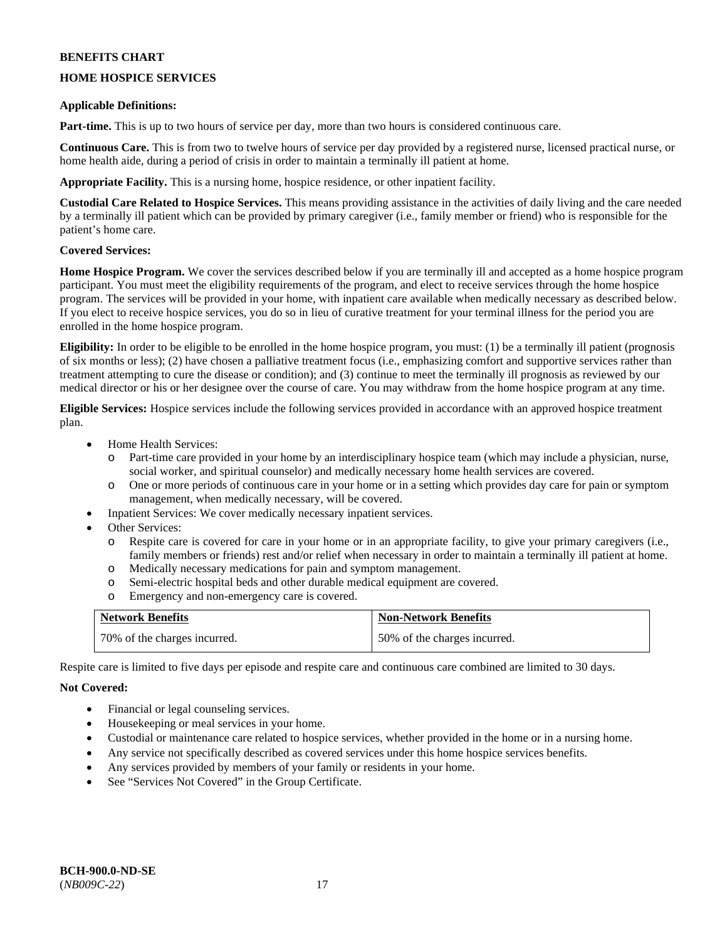## **HOME HOSPICE SERVICES**

## **Applicable Definitions:**

**Part-time.** This is up to two hours of service per day, more than two hours is considered continuous care.

**Continuous Care.** This is from two to twelve hours of service per day provided by a registered nurse, licensed practical nurse, or home health aide, during a period of crisis in order to maintain a terminally ill patient at home.

**Appropriate Facility.** This is a nursing home, hospice residence, or other inpatient facility.

**Custodial Care Related to Hospice Services.** This means providing assistance in the activities of daily living and the care needed by a terminally ill patient which can be provided by primary caregiver (i.e., family member or friend) who is responsible for the patient's home care.

## **Covered Services:**

**Home Hospice Program.** We cover the services described below if you are terminally ill and accepted as a home hospice program participant. You must meet the eligibility requirements of the program, and elect to receive services through the home hospice program. The services will be provided in your home, with inpatient care available when medically necessary as described below. If you elect to receive hospice services, you do so in lieu of curative treatment for your terminal illness for the period you are enrolled in the home hospice program.

**Eligibility:** In order to be eligible to be enrolled in the home hospice program, you must: (1) be a terminally ill patient (prognosis of six months or less); (2) have chosen a palliative treatment focus (i.e., emphasizing comfort and supportive services rather than treatment attempting to cure the disease or condition); and (3) continue to meet the terminally ill prognosis as reviewed by our medical director or his or her designee over the course of care. You may withdraw from the home hospice program at any time.

**Eligible Services:** Hospice services include the following services provided in accordance with an approved hospice treatment plan.

- Home Health Services:
	- o Part-time care provided in your home by an interdisciplinary hospice team (which may include a physician, nurse, social worker, and spiritual counselor) and medically necessary home health services are covered.
	- o One or more periods of continuous care in your home or in a setting which provides day care for pain or symptom management, when medically necessary, will be covered.
- Inpatient Services: We cover medically necessary inpatient services.
- Other Services:
	- o Respite care is covered for care in your home or in an appropriate facility, to give your primary caregivers (i.e., family members or friends) rest and/or relief when necessary in order to maintain a terminally ill patient at home.
	- o Medically necessary medications for pain and symptom management.
	- o Semi-electric hospital beds and other durable medical equipment are covered.
	- Emergency and non-emergency care is covered.

| <b>Network Benefits</b>      | <b>Non-Network Benefits</b>  |
|------------------------------|------------------------------|
| 70% of the charges incurred. | 50% of the charges incurred. |

Respite care is limited to five days per episode and respite care and continuous care combined are limited to 30 days.

## **Not Covered:**

- Financial or legal counseling services.
- Housekeeping or meal services in your home.
- Custodial or maintenance care related to hospice services, whether provided in the home or in a nursing home.
- Any service not specifically described as covered services under this home hospice services benefits.
- Any services provided by members of your family or residents in your home.
- See "Services Not Covered" in the Group Certificate.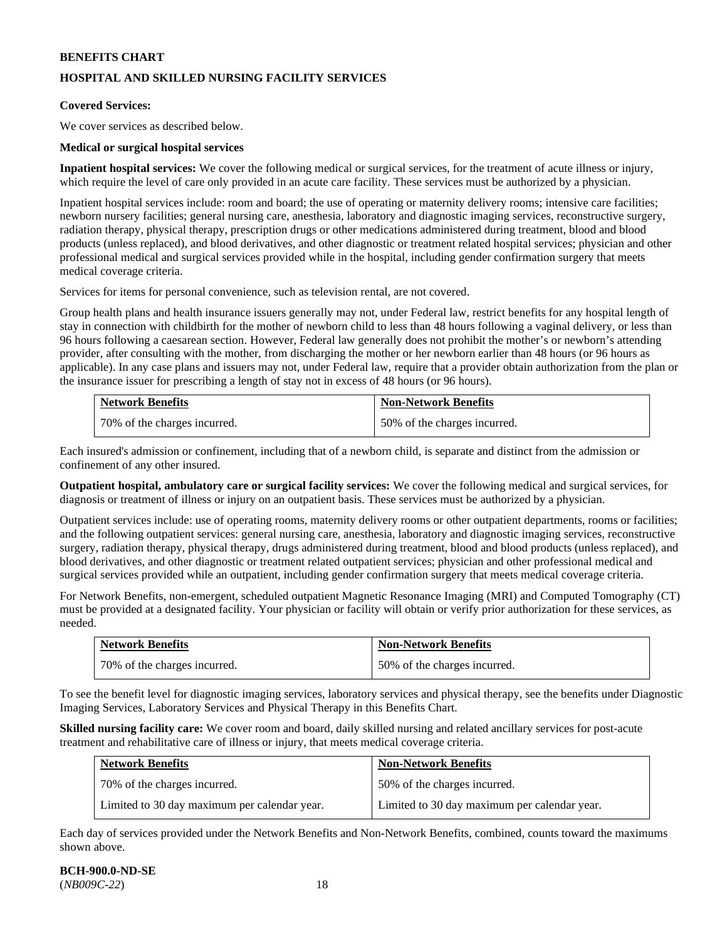## **HOSPITAL AND SKILLED NURSING FACILITY SERVICES**

### **Covered Services:**

We cover services as described below.

## **Medical or surgical hospital services**

**Inpatient hospital services:** We cover the following medical or surgical services, for the treatment of acute illness or injury, which require the level of care only provided in an acute care facility. These services must be authorized by a physician.

Inpatient hospital services include: room and board; the use of operating or maternity delivery rooms; intensive care facilities; newborn nursery facilities; general nursing care, anesthesia, laboratory and diagnostic imaging services, reconstructive surgery, radiation therapy, physical therapy, prescription drugs or other medications administered during treatment, blood and blood products (unless replaced), and blood derivatives, and other diagnostic or treatment related hospital services; physician and other professional medical and surgical services provided while in the hospital, including gender confirmation surgery that meets medical coverage criteria.

Services for items for personal convenience, such as television rental, are not covered.

Group health plans and health insurance issuers generally may not, under Federal law, restrict benefits for any hospital length of stay in connection with childbirth for the mother of newborn child to less than 48 hours following a vaginal delivery, or less than 96 hours following a caesarean section. However, Federal law generally does not prohibit the mother's or newborn's attending provider, after consulting with the mother, from discharging the mother or her newborn earlier than 48 hours (or 96 hours as applicable). In any case plans and issuers may not, under Federal law, require that a provider obtain authorization from the plan or the insurance issuer for prescribing a length of stay not in excess of 48 hours (or 96 hours).

| <b>Network Benefits</b>        | <b>Non-Network Benefits</b>  |
|--------------------------------|------------------------------|
| 1 70% of the charges incurred. | 50% of the charges incurred. |

Each insured's admission or confinement, including that of a newborn child, is separate and distinct from the admission or confinement of any other insured.

**Outpatient hospital, ambulatory care or surgical facility services:** We cover the following medical and surgical services, for diagnosis or treatment of illness or injury on an outpatient basis. These services must be authorized by a physician.

Outpatient services include: use of operating rooms, maternity delivery rooms or other outpatient departments, rooms or facilities; and the following outpatient services: general nursing care, anesthesia, laboratory and diagnostic imaging services, reconstructive surgery, radiation therapy, physical therapy, drugs administered during treatment, blood and blood products (unless replaced), and blood derivatives, and other diagnostic or treatment related outpatient services; physician and other professional medical and surgical services provided while an outpatient, including gender confirmation surgery that meets medical coverage criteria.

For Network Benefits, non-emergent, scheduled outpatient Magnetic Resonance Imaging (MRI) and Computed Tomography (CT) must be provided at a designated facility. Your physician or facility will obtain or verify prior authorization for these services, as needed.

| <b>Network Benefits</b>      | <b>Non-Network Benefits</b>  |
|------------------------------|------------------------------|
| 70% of the charges incurred. | 50% of the charges incurred. |

To see the benefit level for diagnostic imaging services, laboratory services and physical therapy, see the benefits under Diagnostic Imaging Services, Laboratory Services and Physical Therapy in this Benefits Chart.

**Skilled nursing facility care:** We cover room and board, daily skilled nursing and related ancillary services for post-acute treatment and rehabilitative care of illness or injury, that meets medical coverage criteria.

| <b>Network Benefits</b>                      | <b>Non-Network Benefits</b>                  |
|----------------------------------------------|----------------------------------------------|
| 70% of the charges incurred.                 | 50% of the charges incurred.                 |
| Limited to 30 day maximum per calendar year. | Limited to 30 day maximum per calendar year. |

Each day of services provided under the Network Benefits and Non-Network Benefits, combined, counts toward the maximums shown above.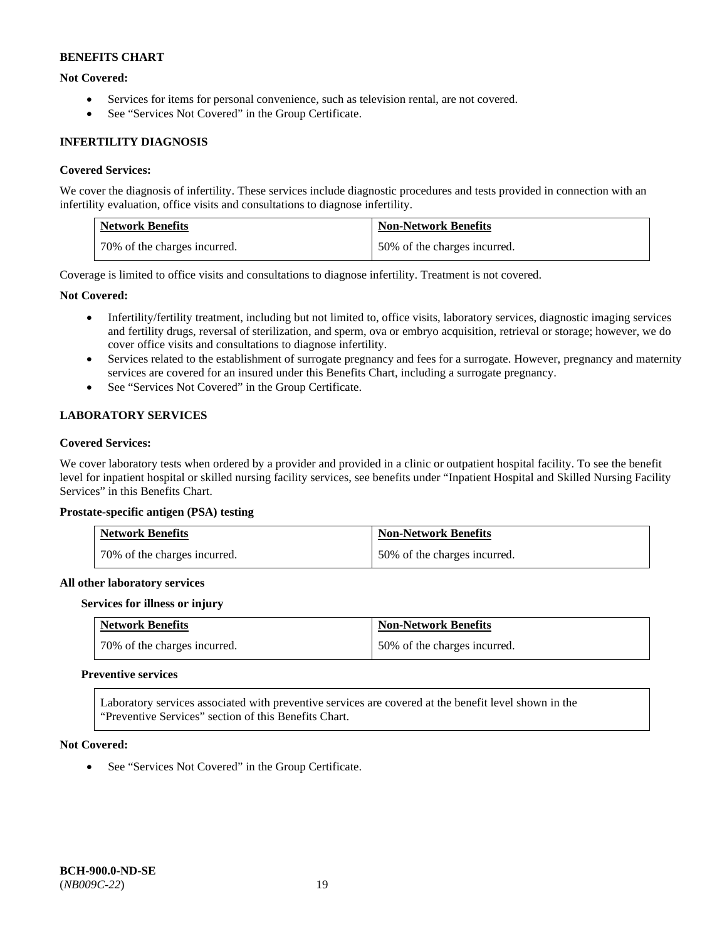## **Not Covered:**

- Services for items for personal convenience, such as television rental, are not covered.
- See "Services Not Covered" in the Group Certificate.

## **INFERTILITY DIAGNOSIS**

## **Covered Services:**

We cover the diagnosis of infertility. These services include diagnostic procedures and tests provided in connection with an infertility evaluation, office visits and consultations to diagnose infertility.

| <b>Network Benefits</b>      | <b>Non-Network Benefits</b>  |
|------------------------------|------------------------------|
| 70% of the charges incurred. | 50% of the charges incurred. |

Coverage is limited to office visits and consultations to diagnose infertility. Treatment is not covered.

## **Not Covered:**

- Infertility/fertility treatment, including but not limited to, office visits, laboratory services, diagnostic imaging services and fertility drugs, reversal of sterilization, and sperm, ova or embryo acquisition, retrieval or storage; however, we do cover office visits and consultations to diagnose infertility.
- Services related to the establishment of surrogate pregnancy and fees for a surrogate. However, pregnancy and maternity services are covered for an insured under this Benefits Chart, including a surrogate pregnancy.
- See "Services Not Covered" in the Group Certificate.

## **LABORATORY SERVICES**

## **Covered Services:**

We cover laboratory tests when ordered by a provider and provided in a clinic or outpatient hospital facility. To see the benefit level for inpatient hospital or skilled nursing facility services, see benefits under "Inpatient Hospital and Skilled Nursing Facility Services" in this Benefits Chart.

#### **Prostate-specific antigen (PSA) testing**

| <b>Network Benefits</b>      | <b>Non-Network Benefits</b>  |
|------------------------------|------------------------------|
| 70% of the charges incurred. | 50% of the charges incurred. |

#### **All other laboratory services**

#### **Services for illness or injury**

| <b>Network Benefits</b>      | <b>Non-Network Benefits</b>  |
|------------------------------|------------------------------|
| 70% of the charges incurred. | 50% of the charges incurred. |

#### **Preventive services**

Laboratory services associated with preventive services are covered at the benefit level shown in the "Preventive Services" section of this Benefits Chart.

#### **Not Covered:**

• See "Services Not Covered" in the Group Certificate.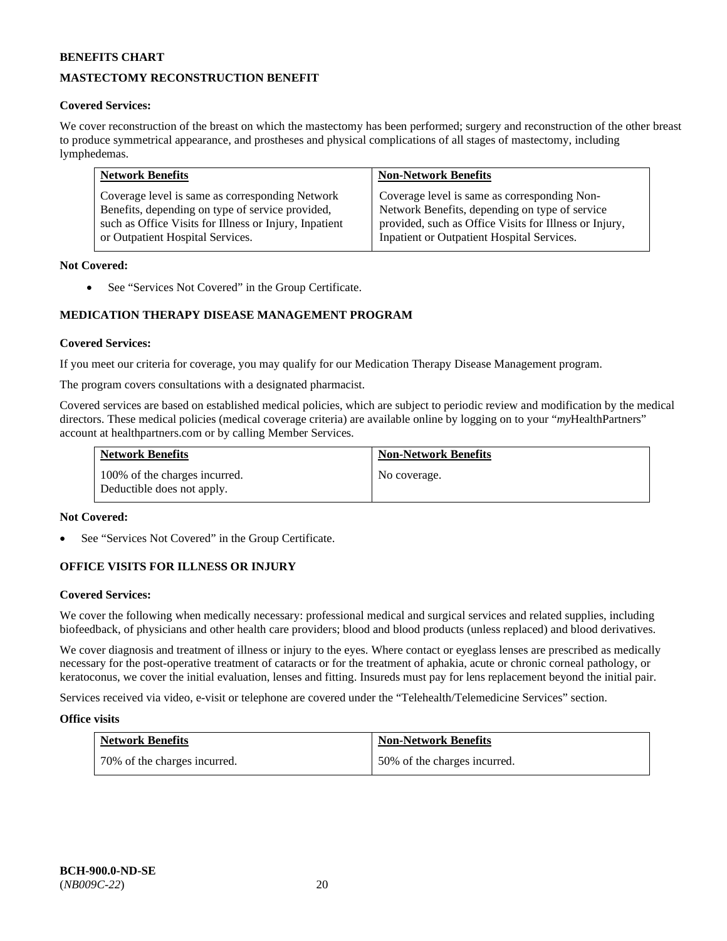## **MASTECTOMY RECONSTRUCTION BENEFIT**

## **Covered Services:**

We cover reconstruction of the breast on which the mastectomy has been performed; surgery and reconstruction of the other breast to produce symmetrical appearance, and prostheses and physical complications of all stages of mastectomy, including lymphedemas.

| <b>Network Benefits</b>                                | <b>Non-Network Benefits</b>                            |
|--------------------------------------------------------|--------------------------------------------------------|
| Coverage level is same as corresponding Network        | Coverage level is same as corresponding Non-           |
| Benefits, depending on type of service provided,       | Network Benefits, depending on type of service         |
| such as Office Visits for Illness or Injury, Inpatient | provided, such as Office Visits for Illness or Injury, |
| or Outpatient Hospital Services.                       | Inpatient or Outpatient Hospital Services.             |

## **Not Covered:**

• See "Services Not Covered" in the Group Certificate.

## **MEDICATION THERAPY DISEASE MANAGEMENT PROGRAM**

## **Covered Services:**

If you meet our criteria for coverage, you may qualify for our Medication Therapy Disease Management program.

The program covers consultations with a designated pharmacist.

Covered services are based on established medical policies, which are subject to periodic review and modification by the medical directors. These medical policies (medical coverage criteria) are available online by logging on to your "*my*HealthPartners" account a[t healthpartners.com](http://www.healthpartners.com/) or by calling Member Services.

| <b>Network Benefits</b>                                     | <b>Non-Network Benefits</b> |
|-------------------------------------------------------------|-----------------------------|
| 100% of the charges incurred.<br>Deductible does not apply. | No coverage.                |

#### **Not Covered:**

See "Services Not Covered" in the Group Certificate.

## **OFFICE VISITS FOR ILLNESS OR INJURY**

#### **Covered Services:**

We cover the following when medically necessary: professional medical and surgical services and related supplies, including biofeedback, of physicians and other health care providers; blood and blood products (unless replaced) and blood derivatives.

We cover diagnosis and treatment of illness or injury to the eyes. Where contact or eyeglass lenses are prescribed as medically necessary for the post-operative treatment of cataracts or for the treatment of aphakia, acute or chronic corneal pathology, or keratoconus, we cover the initial evaluation, lenses and fitting. Insureds must pay for lens replacement beyond the initial pair.

Services received via video, e-visit or telephone are covered under the "Telehealth/Telemedicine Services" section.

#### **Office visits**

| <b>Network Benefits</b>      | <b>Non-Network Benefits</b>  |
|------------------------------|------------------------------|
| 70% of the charges incurred. | 50% of the charges incurred. |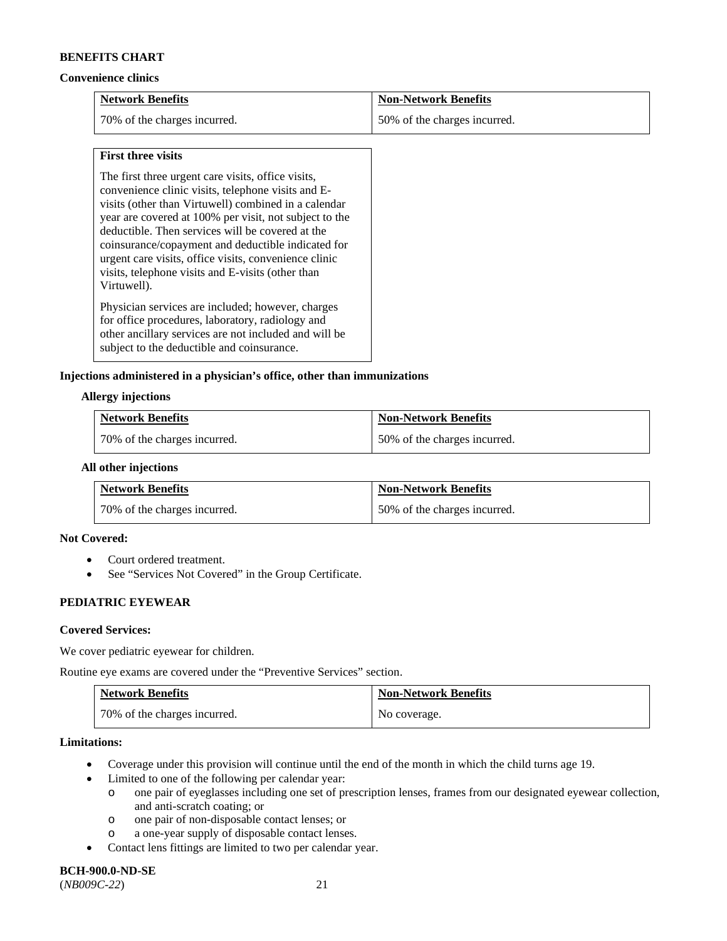#### **Convenience clinics**

| <b>Network Benefits</b>      | <b>Non-Network Benefits</b>  |
|------------------------------|------------------------------|
| 70% of the charges incurred. | 50% of the charges incurred. |

#### **First three visits**

The first three urgent care visits, office visits, convenience clinic visits, telephone visits and Evisits (other than Virtuwell) combined in a calendar year are covered at 100% per visit, not subject to the deductible. Then services will be covered at the coinsurance/copayment and deductible indicated for urgent care visits, office visits, convenience clinic visits, telephone visits and E-visits (other than Virtuwell).

Physician services are included; however, charges for office procedures, laboratory, radiology and other ancillary services are not included and will be subject to the deductible and coinsurance.

## **Injections administered in a physician's office, other than immunizations**

#### **Allergy injections**

| <b>Network Benefits</b>      | <b>Non-Network Benefits</b>  |
|------------------------------|------------------------------|
| 70% of the charges incurred. | 50% of the charges incurred. |

## **All other injections**

| <b>Network Benefits</b>      | <b>Non-Network Benefits</b>  |
|------------------------------|------------------------------|
| 70% of the charges incurred. | 50% of the charges incurred. |

## **Not Covered:**

- Court ordered treatment.
- See "Services Not Covered" in the Group Certificate.

## **PEDIATRIC EYEWEAR**

#### **Covered Services:**

We cover pediatric eyewear for children.

Routine eye exams are covered under the "Preventive Services" section.

| <b>Network Benefits</b>        | <b>Non-Network Benefits</b> |
|--------------------------------|-----------------------------|
| 1 70% of the charges incurred. | No coverage.                |

#### **Limitations:**

- Coverage under this provision will continue until the end of the month in which the child turns age 19.
	- Limited to one of the following per calendar year:
		- o one pair of eyeglasses including one set of prescription lenses, frames from our designated eyewear collection, and anti-scratch coating; or
		- o one pair of non-disposable contact lenses; or
		- o a one-year supply of disposable contact lenses.
- Contact lens fittings are limited to two per calendar year.

# **BCH-900.0-ND-SE**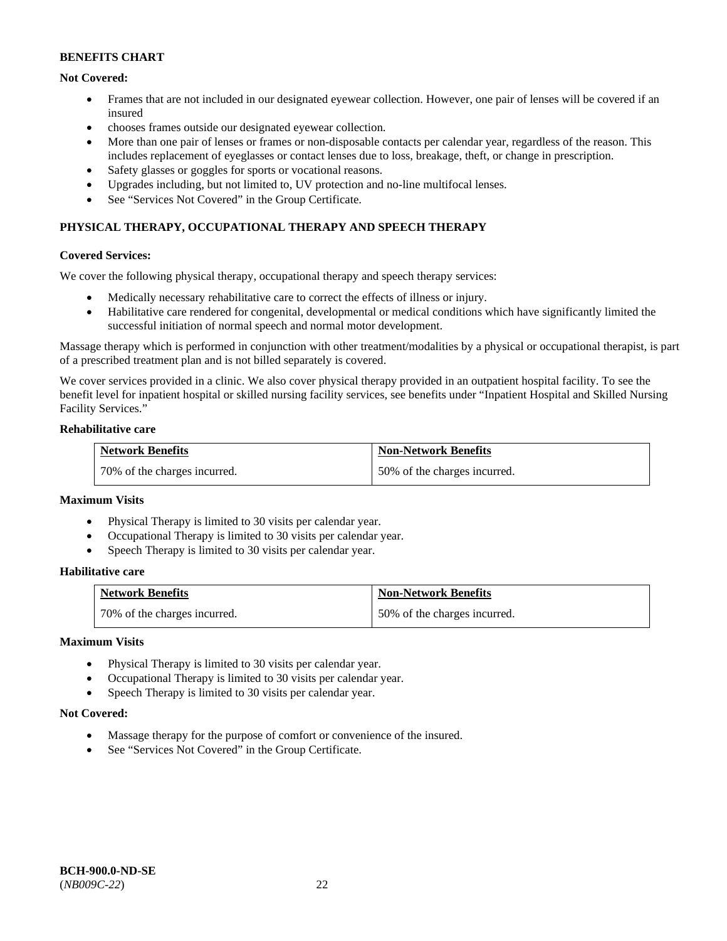## **Not Covered:**

- Frames that are not included in our designated eyewear collection. However, one pair of lenses will be covered if an insured
- chooses frames outside our designated eyewear collection.
- More than one pair of lenses or frames or non-disposable contacts per calendar year, regardless of the reason. This includes replacement of eyeglasses or contact lenses due to loss, breakage, theft, or change in prescription.
- Safety glasses or goggles for sports or vocational reasons.
- Upgrades including, but not limited to, UV protection and no-line multifocal lenses.
- See "Services Not Covered" in the Group Certificate.

## **PHYSICAL THERAPY, OCCUPATIONAL THERAPY AND SPEECH THERAPY**

#### **Covered Services:**

We cover the following physical therapy, occupational therapy and speech therapy services:

- Medically necessary rehabilitative care to correct the effects of illness or injury.
- Habilitative care rendered for congenital, developmental or medical conditions which have significantly limited the successful initiation of normal speech and normal motor development.

Massage therapy which is performed in conjunction with other treatment/modalities by a physical or occupational therapist, is part of a prescribed treatment plan and is not billed separately is covered.

We cover services provided in a clinic. We also cover physical therapy provided in an outpatient hospital facility. To see the benefit level for inpatient hospital or skilled nursing facility services, see benefits under "Inpatient Hospital and Skilled Nursing Facility Services."

#### **Rehabilitative care**

| <b>Network Benefits</b>      | <b>Non-Network Benefits</b>  |
|------------------------------|------------------------------|
| 70% of the charges incurred. | 50% of the charges incurred. |

## **Maximum Visits**

- Physical Therapy is limited to 30 visits per calendar year.
- Occupational Therapy is limited to 30 visits per calendar year.
- Speech Therapy is limited to 30 visits per calendar year.

## **Habilitative care**

| <b>Network Benefits</b>      | <b>Non-Network Benefits</b>  |
|------------------------------|------------------------------|
| 70% of the charges incurred. | 50% of the charges incurred. |

#### **Maximum Visits**

- Physical Therapy is limited to 30 visits per calendar year.
- Occupational Therapy is limited to 30 visits per calendar year.
- Speech Therapy is limited to 30 visits per calendar year.

#### **Not Covered:**

- Massage therapy for the purpose of comfort or convenience of the insured.
- See "Services Not Covered" in the Group Certificate.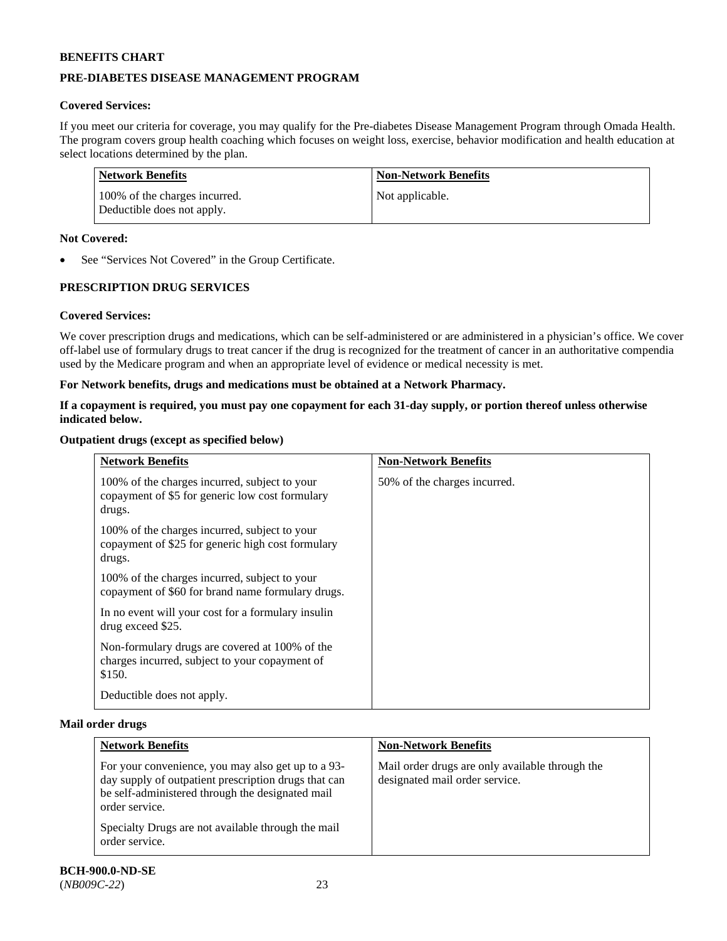## **PRE-DIABETES DISEASE MANAGEMENT PROGRAM**

## **Covered Services:**

If you meet our criteria for coverage, you may qualify for the Pre-diabetes Disease Management Program through Omada Health. The program covers group health coaching which focuses on weight loss, exercise, behavior modification and health education at select locations determined by the plan.

| Network Benefits                                            | <b>Non-Network Benefits</b> |
|-------------------------------------------------------------|-----------------------------|
| 100% of the charges incurred.<br>Deductible does not apply. | Not applicable.             |

## **Not Covered:**

See "Services Not Covered" in the Group Certificate.

## **PRESCRIPTION DRUG SERVICES**

## **Covered Services:**

We cover prescription drugs and medications, which can be self-administered or are administered in a physician's office. We cover off-label use of formulary drugs to treat cancer if the drug is recognized for the treatment of cancer in an authoritative compendia used by the Medicare program and when an appropriate level of evidence or medical necessity is met.

## **For Network benefits, drugs and medications must be obtained at a Network Pharmacy.**

## **If a copayment is required, you must pay one copayment for each 31-day supply, or portion thereof unless otherwise indicated below.**

## **Outpatient drugs (except as specified below)**

| <b>Network Benefits</b>                                                                                      | <b>Non-Network Benefits</b>  |
|--------------------------------------------------------------------------------------------------------------|------------------------------|
| 100% of the charges incurred, subject to your<br>copayment of \$5 for generic low cost formulary<br>drugs.   | 50% of the charges incurred. |
| 100% of the charges incurred, subject to your<br>copayment of \$25 for generic high cost formulary<br>drugs. |                              |
| 100% of the charges incurred, subject to your<br>copayment of \$60 for brand name formulary drugs.           |                              |
| In no event will your cost for a formulary insulin<br>drug exceed \$25.                                      |                              |
| Non-formulary drugs are covered at 100% of the<br>charges incurred, subject to your copayment of<br>\$150.   |                              |
| Deductible does not apply.                                                                                   |                              |

#### **Mail order drugs**

| <b>Network Benefits</b>                                                                                                                                                                                                                                  | <b>Non-Network Benefits</b>                                                       |
|----------------------------------------------------------------------------------------------------------------------------------------------------------------------------------------------------------------------------------------------------------|-----------------------------------------------------------------------------------|
| For your convenience, you may also get up to a 93-<br>day supply of outpatient prescription drugs that can<br>be self-administered through the designated mail<br>order service.<br>Specialty Drugs are not available through the mail<br>order service. | Mail order drugs are only available through the<br>designated mail order service. |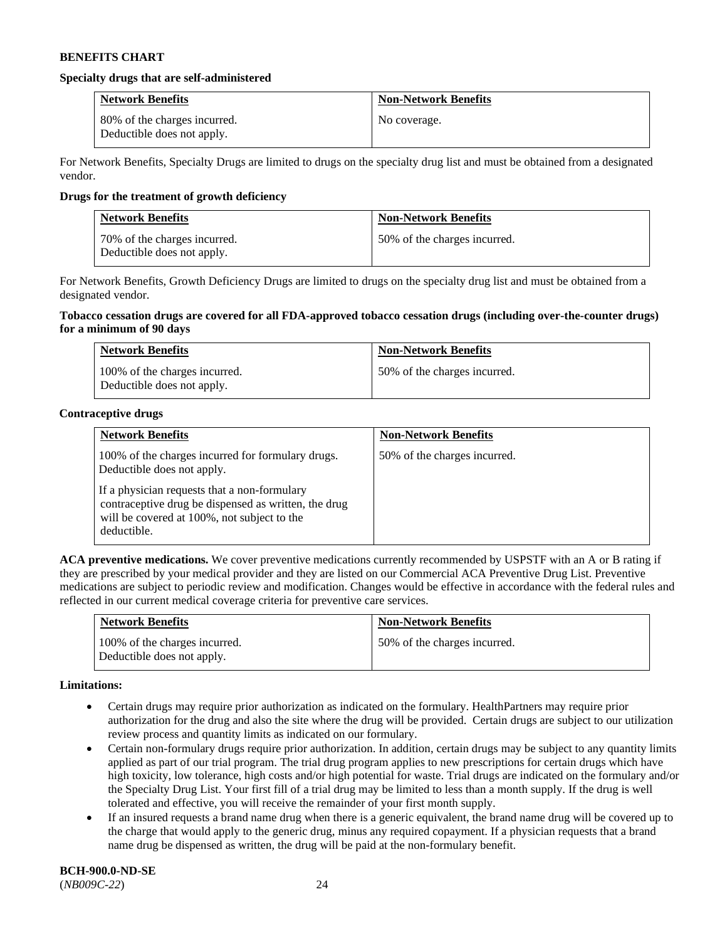#### **Specialty drugs that are self-administered**

| <b>Network Benefits</b>                                    | <b>Non-Network Benefits</b> |
|------------------------------------------------------------|-----------------------------|
| 80% of the charges incurred.<br>Deductible does not apply. | No coverage.                |

For Network Benefits, Specialty Drugs are limited to drugs on the specialty drug list and must be obtained from a designated vendor.

## **Drugs for the treatment of growth deficiency**

| <b>Network Benefits</b>                                    | <b>Non-Network Benefits</b>  |
|------------------------------------------------------------|------------------------------|
| 70% of the charges incurred.<br>Deductible does not apply. | 50% of the charges incurred. |

For Network Benefits, Growth Deficiency Drugs are limited to drugs on the specialty drug list and must be obtained from a designated vendor.

#### **Tobacco cessation drugs are covered for all FDA-approved tobacco cessation drugs (including over-the-counter drugs) for a minimum of 90 days**

| <b>Network Benefits</b>                                     | <b>Non-Network Benefits</b>  |
|-------------------------------------------------------------|------------------------------|
| 100% of the charges incurred.<br>Deductible does not apply. | 50% of the charges incurred. |

## **Contraceptive drugs**

| <b>Network Benefits</b>                                                                                                                                            | <b>Non-Network Benefits</b>  |
|--------------------------------------------------------------------------------------------------------------------------------------------------------------------|------------------------------|
| 100% of the charges incurred for formulary drugs.<br>Deductible does not apply.                                                                                    | 50% of the charges incurred. |
| If a physician requests that a non-formulary<br>contraceptive drug be dispensed as written, the drug<br>will be covered at 100%, not subject to the<br>deductible. |                              |

**ACA preventive medications.** We cover preventive medications currently recommended by USPSTF with an A or B rating if they are prescribed by your medical provider and they are listed on our Commercial ACA Preventive Drug List. Preventive medications are subject to periodic review and modification. Changes would be effective in accordance with the federal rules and reflected in our current medical coverage criteria for preventive care services.

| <b>Network Benefits</b>                                     | <b>Non-Network Benefits</b>  |
|-------------------------------------------------------------|------------------------------|
| 100% of the charges incurred.<br>Deductible does not apply. | 50% of the charges incurred. |

#### **Limitations:**

- Certain drugs may require prior authorization as indicated on the formulary. HealthPartners may require prior authorization for the drug and also the site where the drug will be provided. Certain drugs are subject to our utilization review process and quantity limits as indicated on our formulary.
- Certain non-formulary drugs require prior authorization. In addition, certain drugs may be subject to any quantity limits applied as part of our trial program. The trial drug program applies to new prescriptions for certain drugs which have high toxicity, low tolerance, high costs and/or high potential for waste. Trial drugs are indicated on the formulary and/or the Specialty Drug List. Your first fill of a trial drug may be limited to less than a month supply. If the drug is well tolerated and effective, you will receive the remainder of your first month supply.
- If an insured requests a brand name drug when there is a generic equivalent, the brand name drug will be covered up to the charge that would apply to the generic drug, minus any required copayment. If a physician requests that a brand name drug be dispensed as written, the drug will be paid at the non-formulary benefit.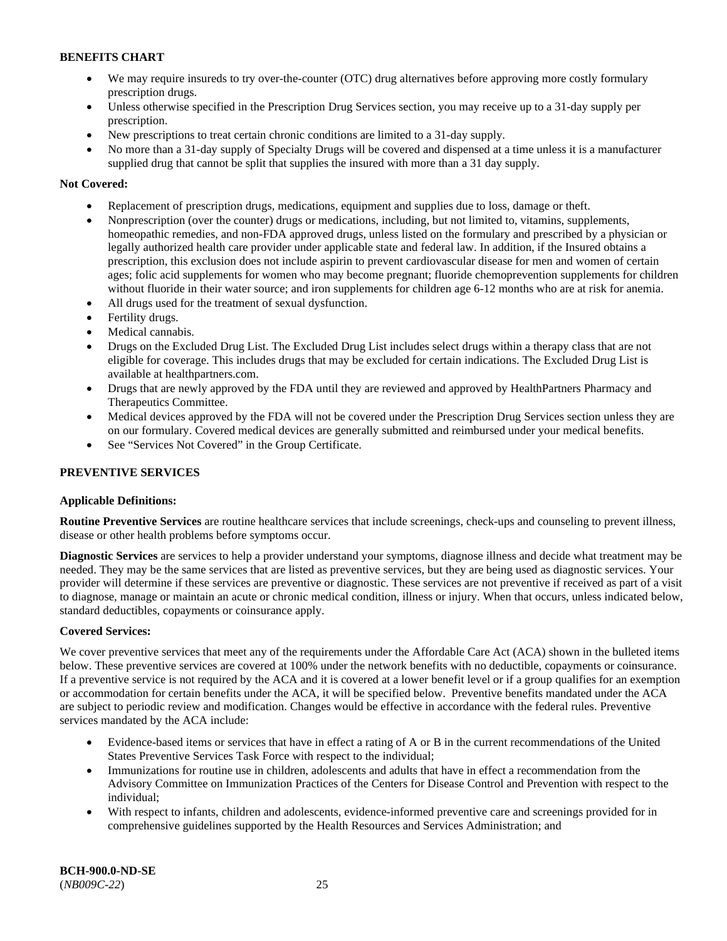- We may require insureds to try over-the-counter (OTC) drug alternatives before approving more costly formulary prescription drugs.
- Unless otherwise specified in the Prescription Drug Services section, you may receive up to a 31-day supply per prescription.
- New prescriptions to treat certain chronic conditions are limited to a 31-day supply.
- No more than a 31-day supply of Specialty Drugs will be covered and dispensed at a time unless it is a manufacturer supplied drug that cannot be split that supplies the insured with more than a 31 day supply.

## **Not Covered:**

- Replacement of prescription drugs, medications, equipment and supplies due to loss, damage or theft.
- Nonprescription (over the counter) drugs or medications, including, but not limited to, vitamins, supplements, homeopathic remedies, and non-FDA approved drugs, unless listed on the formulary and prescribed by a physician or legally authorized health care provider under applicable state and federal law. In addition, if the Insured obtains a prescription, this exclusion does not include aspirin to prevent cardiovascular disease for men and women of certain ages; folic acid supplements for women who may become pregnant; fluoride chemoprevention supplements for children without fluoride in their water source; and iron supplements for children age 6-12 months who are at risk for anemia.
- All drugs used for the treatment of sexual dysfunction.
- Fertility drugs.
- Medical cannabis.
- Drugs on the Excluded Drug List. The Excluded Drug List includes select drugs within a therapy class that are not eligible for coverage. This includes drugs that may be excluded for certain indications. The Excluded Drug List is available at [healthpartners.com.](http://www.healthpartners.com/)
- Drugs that are newly approved by the FDA until they are reviewed and approved by HealthPartners Pharmacy and Therapeutics Committee.
- Medical devices approved by the FDA will not be covered under the Prescription Drug Services section unless they are on our formulary. Covered medical devices are generally submitted and reimbursed under your medical benefits.
- See "Services Not Covered" in the Group Certificate.

## **PREVENTIVE SERVICES**

## **Applicable Definitions:**

**Routine Preventive Services** are routine healthcare services that include screenings, check-ups and counseling to prevent illness, disease or other health problems before symptoms occur.

**Diagnostic Services** are services to help a provider understand your symptoms, diagnose illness and decide what treatment may be needed. They may be the same services that are listed as preventive services, but they are being used as diagnostic services. Your provider will determine if these services are preventive or diagnostic. These services are not preventive if received as part of a visit to diagnose, manage or maintain an acute or chronic medical condition, illness or injury. When that occurs, unless indicated below, standard deductibles, copayments or coinsurance apply.

## **Covered Services:**

We cover preventive services that meet any of the requirements under the Affordable Care Act (ACA) shown in the bulleted items below. These preventive services are covered at 100% under the network benefits with no deductible, copayments or coinsurance. If a preventive service is not required by the ACA and it is covered at a lower benefit level or if a group qualifies for an exemption or accommodation for certain benefits under the ACA, it will be specified below. Preventive benefits mandated under the ACA are subject to periodic review and modification. Changes would be effective in accordance with the federal rules. Preventive services mandated by the ACA include:

- Evidence-based items or services that have in effect a rating of A or B in the current recommendations of the United States Preventive Services Task Force with respect to the individual;
- Immunizations for routine use in children, adolescents and adults that have in effect a recommendation from the Advisory Committee on Immunization Practices of the Centers for Disease Control and Prevention with respect to the individual;
- With respect to infants, children and adolescents, evidence-informed preventive care and screenings provided for in comprehensive guidelines supported by the Health Resources and Services Administration; and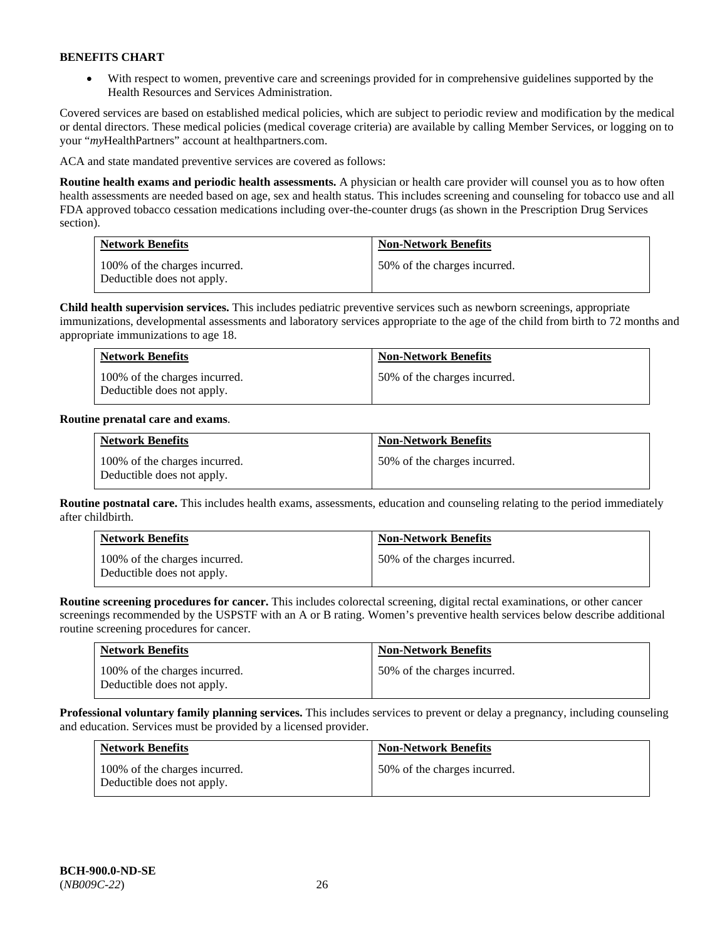• With respect to women, preventive care and screenings provided for in comprehensive guidelines supported by the Health Resources and Services Administration.

Covered services are based on established medical policies, which are subject to periodic review and modification by the medical or dental directors. These medical policies (medical coverage criteria) are available by calling Member Services, or logging on to your "*my*HealthPartners" account at [healthpartners.com.](http://www.healthpartners.com/) 

ACA and state mandated preventive services are covered as follows:

**Routine health exams and periodic health assessments.** A physician or health care provider will counsel you as to how often health assessments are needed based on age, sex and health status. This includes screening and counseling for tobacco use and all FDA approved tobacco cessation medications including over-the-counter drugs (as shown in the Prescription Drug Services section).

| <b>Network Benefits</b>                                     | <b>Non-Network Benefits</b>  |
|-------------------------------------------------------------|------------------------------|
| 100% of the charges incurred.<br>Deductible does not apply. | 50% of the charges incurred. |

**Child health supervision services.** This includes pediatric preventive services such as newborn screenings, appropriate immunizations, developmental assessments and laboratory services appropriate to the age of the child from birth to 72 months and appropriate immunizations to age 18.

| <b>Network Benefits</b>                                     | <b>Non-Network Benefits</b>  |
|-------------------------------------------------------------|------------------------------|
| 100% of the charges incurred.<br>Deductible does not apply. | 50% of the charges incurred. |

## **Routine prenatal care and exams**.

| <b>Network Benefits</b>                                     | <b>Non-Network Benefits</b>  |
|-------------------------------------------------------------|------------------------------|
| 100% of the charges incurred.<br>Deductible does not apply. | 50% of the charges incurred. |

**Routine postnatal care.** This includes health exams, assessments, education and counseling relating to the period immediately after childbirth.

| <b>Network Benefits</b>                                     | <b>Non-Network Benefits</b>  |
|-------------------------------------------------------------|------------------------------|
| 100% of the charges incurred.<br>Deductible does not apply. | 50% of the charges incurred. |

**Routine screening procedures for cancer.** This includes colorectal screening, digital rectal examinations, or other cancer screenings recommended by the USPSTF with an A or B rating. Women's preventive health services below describe additional routine screening procedures for cancer.

| <b>Network Benefits</b>                                     | <b>Non-Network Benefits</b>  |
|-------------------------------------------------------------|------------------------------|
| 100% of the charges incurred.<br>Deductible does not apply. | 50% of the charges incurred. |

**Professional voluntary family planning services.** This includes services to prevent or delay a pregnancy, including counseling and education. Services must be provided by a licensed provider.

| <b>Network Benefits</b>                                     | <b>Non-Network Benefits</b>  |
|-------------------------------------------------------------|------------------------------|
| 100% of the charges incurred.<br>Deductible does not apply. | 50% of the charges incurred. |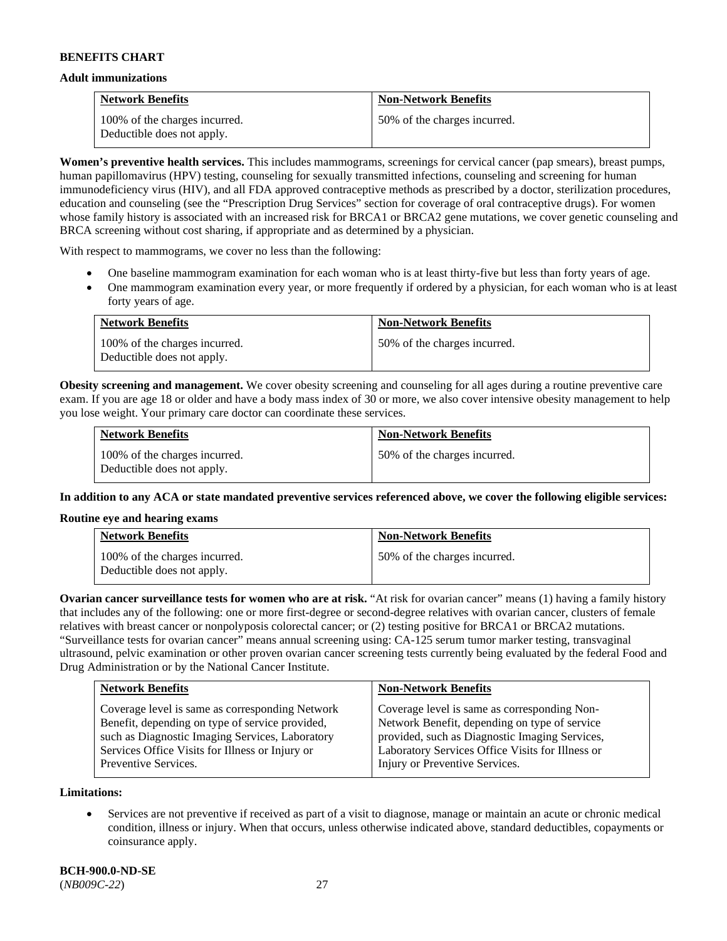#### **Adult immunizations**

| <b>Network Benefits</b>                                     | <b>Non-Network Benefits</b>  |
|-------------------------------------------------------------|------------------------------|
| 100% of the charges incurred.<br>Deductible does not apply. | 50% of the charges incurred. |

**Women's preventive health services.** This includes mammograms, screenings for cervical cancer (pap smears), breast pumps, human papillomavirus (HPV) testing, counseling for sexually transmitted infections, counseling and screening for human immunodeficiency virus (HIV), and all FDA approved contraceptive methods as prescribed by a doctor, sterilization procedures, education and counseling (see the "Prescription Drug Services" section for coverage of oral contraceptive drugs). For women whose family history is associated with an increased risk for BRCA1 or BRCA2 gene mutations, we cover genetic counseling and BRCA screening without cost sharing, if appropriate and as determined by a physician.

With respect to mammograms, we cover no less than the following:

- One baseline mammogram examination for each woman who is at least thirty-five but less than forty years of age.
- One mammogram examination every year, or more frequently if ordered by a physician, for each woman who is at least forty years of age.

| <b>Network Benefits</b>                                     | <b>Non-Network Benefits</b>  |
|-------------------------------------------------------------|------------------------------|
| 100% of the charges incurred.<br>Deductible does not apply. | 50% of the charges incurred. |

**Obesity screening and management.** We cover obesity screening and counseling for all ages during a routine preventive care exam. If you are age 18 or older and have a body mass index of 30 or more, we also cover intensive obesity management to help you lose weight. Your primary care doctor can coordinate these services.

| <b>Network Benefits</b>                                     | <b>Non-Network Benefits</b>  |
|-------------------------------------------------------------|------------------------------|
| 100% of the charges incurred.<br>Deductible does not apply. | 50% of the charges incurred. |

**In addition to any ACA or state mandated preventive services referenced above, we cover the following eligible services:**

#### **Routine eye and hearing exams**

| <b>Network Benefits</b>                                     | <b>Non-Network Benefits</b>  |
|-------------------------------------------------------------|------------------------------|
| 100% of the charges incurred.<br>Deductible does not apply. | 50% of the charges incurred. |

**Ovarian cancer surveillance tests for women who are at risk.** "At risk for ovarian cancer" means (1) having a family history that includes any of the following: one or more first-degree or second-degree relatives with ovarian cancer, clusters of female relatives with breast cancer or nonpolyposis colorectal cancer; or (2) testing positive for BRCA1 or BRCA2 mutations. "Surveillance tests for ovarian cancer" means annual screening using: CA-125 serum tumor marker testing, transvaginal ultrasound, pelvic examination or other proven ovarian cancer screening tests currently being evaluated by the federal Food and Drug Administration or by the National Cancer Institute.

| Coverage level is same as corresponding Network<br>Coverage level is same as corresponding Non-<br>Network Benefit, depending on type of service<br>Benefit, depending on type of service provided,<br>provided, such as Diagnostic Imaging Services,<br>such as Diagnostic Imaging Services, Laboratory<br>Laboratory Services Office Visits for Illness or<br>Services Office Visits for Illness or Injury or | <b>Network Benefits</b> | <b>Non-Network Benefits</b>    |
|-----------------------------------------------------------------------------------------------------------------------------------------------------------------------------------------------------------------------------------------------------------------------------------------------------------------------------------------------------------------------------------------------------------------|-------------------------|--------------------------------|
|                                                                                                                                                                                                                                                                                                                                                                                                                 | Preventive Services.    | Injury or Preventive Services. |

**Limitations:**

• Services are not preventive if received as part of a visit to diagnose, manage or maintain an acute or chronic medical condition, illness or injury. When that occurs, unless otherwise indicated above, standard deductibles, copayments or coinsurance apply.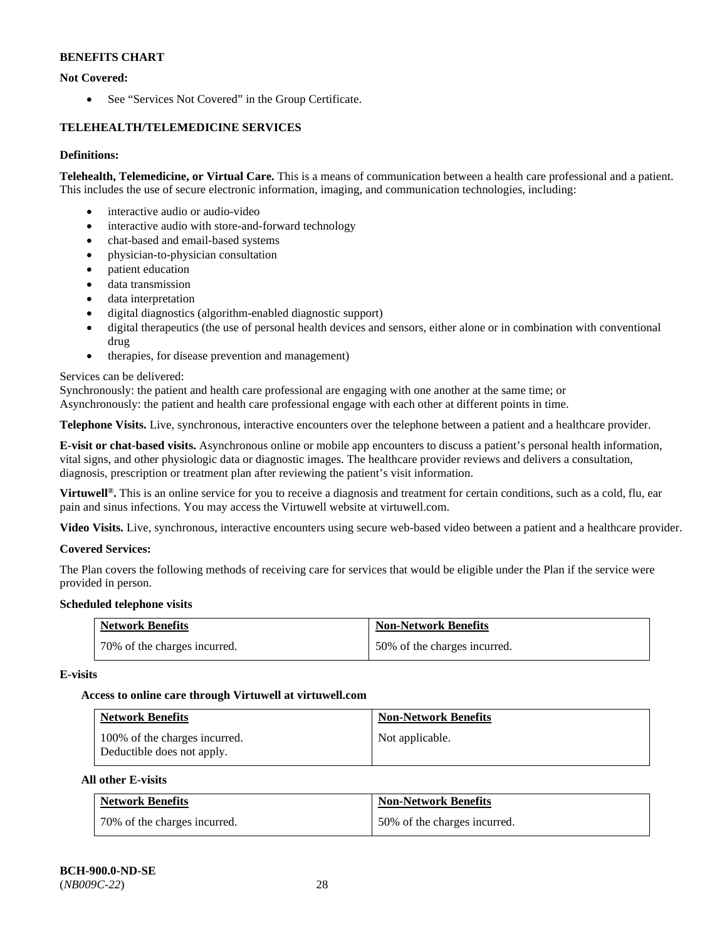## **Not Covered:**

• See "Services Not Covered" in the Group Certificate.

## **TELEHEALTH/TELEMEDICINE SERVICES**

## **Definitions:**

**Telehealth, Telemedicine, or Virtual Care.** This is a means of communication between a health care professional and a patient. This includes the use of secure electronic information, imaging, and communication technologies, including:

- interactive audio or audio-video
- interactive audio with store-and-forward technology
- chat-based and email-based systems
- physician-to-physician consultation
- patient education
- data transmission
- data interpretation
- digital diagnostics (algorithm-enabled diagnostic support)
- digital therapeutics (the use of personal health devices and sensors, either alone or in combination with conventional drug
- therapies, for disease prevention and management)

## Services can be delivered:

Synchronously: the patient and health care professional are engaging with one another at the same time; or

Asynchronously: the patient and health care professional engage with each other at different points in time.

**Telephone Visits.** Live, synchronous, interactive encounters over the telephone between a patient and a healthcare provider.

**E-visit or chat-based visits.** Asynchronous online or mobile app encounters to discuss a patient's personal health information, vital signs, and other physiologic data or diagnostic images. The healthcare provider reviews and delivers a consultation, diagnosis, prescription or treatment plan after reviewing the patient's visit information.

**Virtuwell<sup>®</sup>.** This is an online service for you to receive a diagnosis and treatment for certain conditions, such as a cold, flu, ear pain and sinus infections. You may access the Virtuwell website at [virtuwell.com.](https://www.virtuwell.com/)

**Video Visits.** Live, synchronous, interactive encounters using secure web-based video between a patient and a healthcare provider.

## **Covered Services:**

The Plan covers the following methods of receiving care for services that would be eligible under the Plan if the service were provided in person.

## **Scheduled telephone visits**

| <b>Network Benefits</b>      | <b>Non-Network Benefits</b>  |
|------------------------------|------------------------------|
| 70% of the charges incurred. | 50% of the charges incurred. |

## **E-visits**

## **Access to online care through Virtuwell at [virtuwell.com](https://www.virtuwell.com/)**

| <b>Network Benefits</b>                                     | <b>Non-Network Benefits</b> |
|-------------------------------------------------------------|-----------------------------|
| 100% of the charges incurred.<br>Deductible does not apply. | Not applicable.             |

## **All other E-visits**

| <b>Network Benefits</b>      | <b>Non-Network Benefits</b>  |
|------------------------------|------------------------------|
| 70% of the charges incurred. | 50% of the charges incurred. |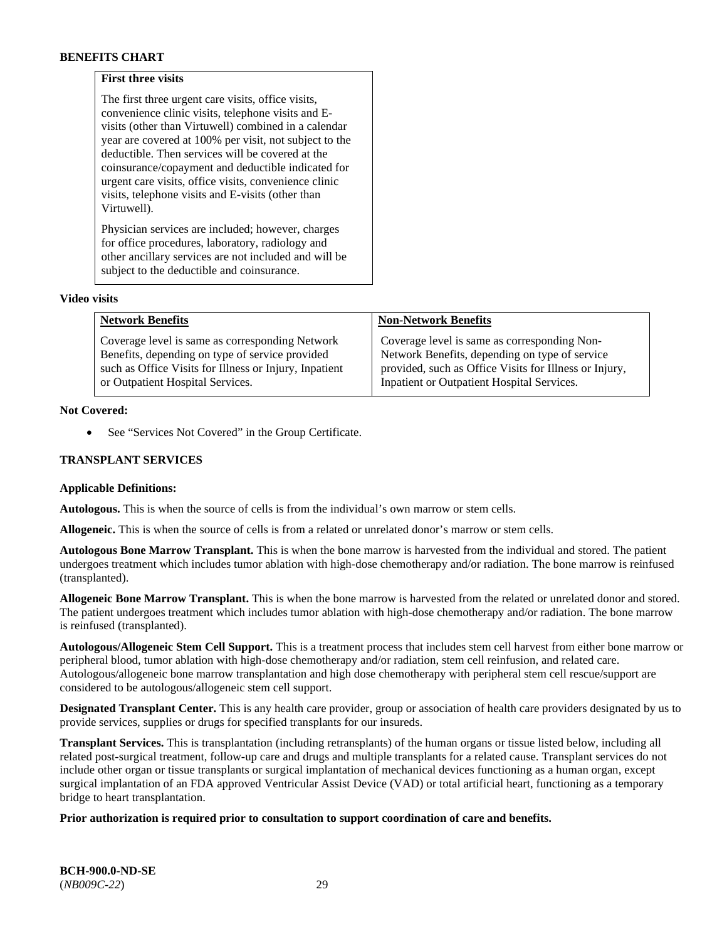## **First three visits**

The first three urgent care visits, office visits, convenience clinic visits, telephone visits and Evisits (other than Virtuwell) combined in a calendar year are covered at 100% per visit, not subject to the deductible. Then services will be covered at the coinsurance/copayment and deductible indicated for urgent care visits, office visits, convenience clinic visits, telephone visits and E-visits (other than Virtuwell).

Physician services are included; however, charges for office procedures, laboratory, radiology and other ancillary services are not included and will be subject to the deductible and coinsurance.

#### **Video visits**

| <b>Network Benefits</b>                                | <b>Non-Network Benefits</b>                            |
|--------------------------------------------------------|--------------------------------------------------------|
| Coverage level is same as corresponding Network        | Coverage level is same as corresponding Non-           |
| Benefits, depending on type of service provided        | Network Benefits, depending on type of service         |
| such as Office Visits for Illness or Injury, Inpatient | provided, such as Office Visits for Illness or Injury, |
| or Outpatient Hospital Services.                       | Inpatient or Outpatient Hospital Services.             |

#### **Not Covered:**

See "Services Not Covered" in the Group Certificate.

## **TRANSPLANT SERVICES**

#### **Applicable Definitions:**

**Autologous.** This is when the source of cells is from the individual's own marrow or stem cells.

**Allogeneic.** This is when the source of cells is from a related or unrelated donor's marrow or stem cells.

**Autologous Bone Marrow Transplant.** This is when the bone marrow is harvested from the individual and stored. The patient undergoes treatment which includes tumor ablation with high-dose chemotherapy and/or radiation. The bone marrow is reinfused (transplanted).

**Allogeneic Bone Marrow Transplant.** This is when the bone marrow is harvested from the related or unrelated donor and stored. The patient undergoes treatment which includes tumor ablation with high-dose chemotherapy and/or radiation. The bone marrow is reinfused (transplanted).

**Autologous/Allogeneic Stem Cell Support.** This is a treatment process that includes stem cell harvest from either bone marrow or peripheral blood, tumor ablation with high-dose chemotherapy and/or radiation, stem cell reinfusion, and related care. Autologous/allogeneic bone marrow transplantation and high dose chemotherapy with peripheral stem cell rescue/support are considered to be autologous/allogeneic stem cell support.

**Designated Transplant Center.** This is any health care provider, group or association of health care providers designated by us to provide services, supplies or drugs for specified transplants for our insureds.

**Transplant Services.** This is transplantation (including retransplants) of the human organs or tissue listed below, including all related post-surgical treatment, follow-up care and drugs and multiple transplants for a related cause. Transplant services do not include other organ or tissue transplants or surgical implantation of mechanical devices functioning as a human organ, except surgical implantation of an FDA approved Ventricular Assist Device (VAD) or total artificial heart, functioning as a temporary bridge to heart transplantation.

## **Prior authorization is required prior to consultation to support coordination of care and benefits.**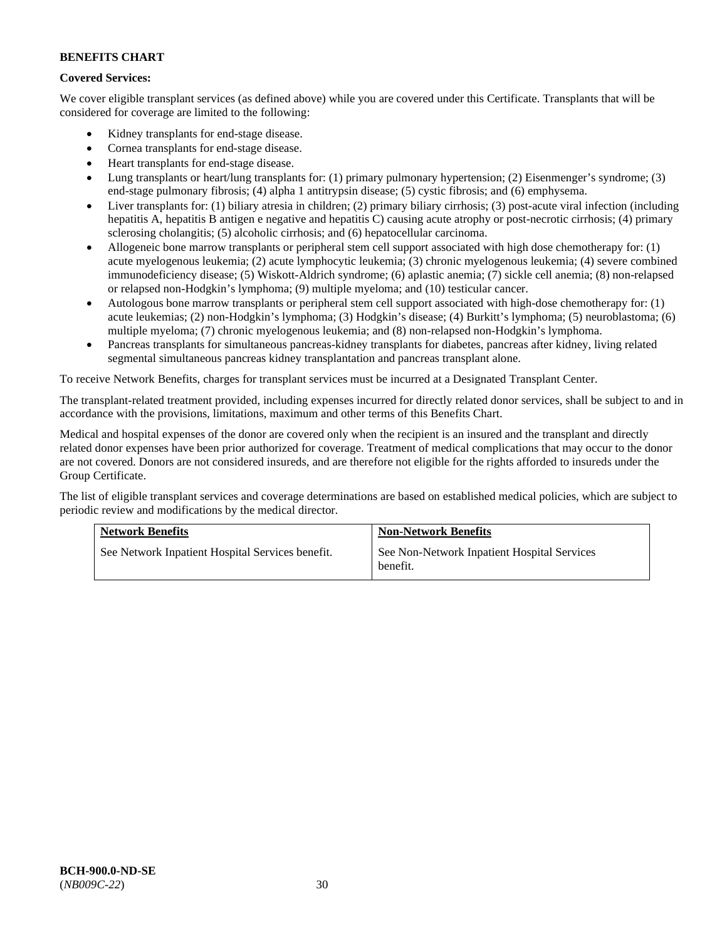## **Covered Services:**

We cover eligible transplant services (as defined above) while you are covered under this Certificate. Transplants that will be considered for coverage are limited to the following:

- Kidney transplants for end-stage disease.
- Cornea transplants for end-stage disease.
- Heart transplants for end-stage disease.
- Lung transplants or heart/lung transplants for: (1) primary pulmonary hypertension; (2) Eisenmenger's syndrome; (3) end-stage pulmonary fibrosis; (4) alpha 1 antitrypsin disease; (5) cystic fibrosis; and (6) emphysema.
- Liver transplants for: (1) biliary atresia in children; (2) primary biliary cirrhosis; (3) post-acute viral infection (including hepatitis A, hepatitis B antigen e negative and hepatitis C) causing acute atrophy or post-necrotic cirrhosis; (4) primary sclerosing cholangitis; (5) alcoholic cirrhosis; and (6) hepatocellular carcinoma.
- Allogeneic bone marrow transplants or peripheral stem cell support associated with high dose chemotherapy for: (1) acute myelogenous leukemia; (2) acute lymphocytic leukemia; (3) chronic myelogenous leukemia; (4) severe combined immunodeficiency disease; (5) Wiskott-Aldrich syndrome; (6) aplastic anemia; (7) sickle cell anemia; (8) non-relapsed or relapsed non-Hodgkin's lymphoma; (9) multiple myeloma; and (10) testicular cancer.
- Autologous bone marrow transplants or peripheral stem cell support associated with high-dose chemotherapy for: (1) acute leukemias; (2) non-Hodgkin's lymphoma; (3) Hodgkin's disease; (4) Burkitt's lymphoma; (5) neuroblastoma; (6) multiple myeloma; (7) chronic myelogenous leukemia; and (8) non-relapsed non-Hodgkin's lymphoma.
- Pancreas transplants for simultaneous pancreas-kidney transplants for diabetes, pancreas after kidney, living related segmental simultaneous pancreas kidney transplantation and pancreas transplant alone.

To receive Network Benefits, charges for transplant services must be incurred at a Designated Transplant Center.

The transplant-related treatment provided, including expenses incurred for directly related donor services, shall be subject to and in accordance with the provisions, limitations, maximum and other terms of this Benefits Chart.

Medical and hospital expenses of the donor are covered only when the recipient is an insured and the transplant and directly related donor expenses have been prior authorized for coverage. Treatment of medical complications that may occur to the donor are not covered. Donors are not considered insureds, and are therefore not eligible for the rights afforded to insureds under the Group Certificate.

The list of eligible transplant services and coverage determinations are based on established medical policies, which are subject to periodic review and modifications by the medical director.

| <b>Network Benefits</b>                          | <b>Non-Network Benefits</b>                             |
|--------------------------------------------------|---------------------------------------------------------|
| See Network Inpatient Hospital Services benefit. | See Non-Network Inpatient Hospital Services<br>benefit. |